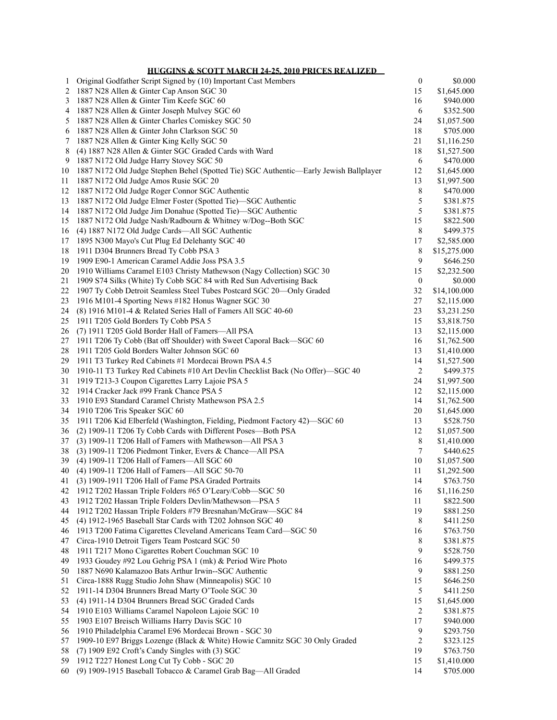**HUGGINS & SCOTT MARCH 24-25, 2010 PRICES REALIZED**

| 1  | Original Godfather Script Signed by (10) Important Cast Members                       | $\boldsymbol{0}$ | \$0.000      |
|----|---------------------------------------------------------------------------------------|------------------|--------------|
| 2  | 1887 N28 Allen & Ginter Cap Anson SGC 30                                              | 15               | \$1,645.000  |
| 3  | 1887 N28 Allen & Ginter Tim Keefe SGC 60                                              | 16               | \$940.000    |
| 4  | 1887 N28 Allen & Ginter Joseph Mulvey SGC 60                                          | 6                | \$352.500    |
| 5  | 1887 N28 Allen & Ginter Charles Comiskey SGC 50                                       | 24               | \$1,057.500  |
| 6  | 1887 N28 Allen & Ginter John Clarkson SGC 50                                          | 18               | \$705.000    |
| 7  | 1887 N28 Allen & Ginter King Kelly SGC 50                                             | 21               | \$1,116.250  |
| 8  | (4) 1887 N28 Allen & Ginter SGC Graded Cards with Ward                                | 18               | \$1,527.500  |
| 9  | 1887 N172 Old Judge Harry Stovey SGC 50                                               | 6                | \$470.000    |
| 10 | 1887 N172 Old Judge Stephen Behel (Spotted Tie) SGC Authentic—Early Jewish Ballplayer | 12               | \$1,645.000  |
|    | 1887 N172 Old Judge Amos Rusie SGC 20                                                 | 13               | \$1,997.500  |
| 11 |                                                                                       |                  |              |
| 12 | 1887 N172 Old Judge Roger Connor SGC Authentic                                        | $\,$ 8 $\,$      | \$470.000    |
| 13 | 1887 N172 Old Judge Elmer Foster (Spotted Tie)-SGC Authentic                          | 5                | \$381.875    |
| 14 | 1887 N172 Old Judge Jim Donahue (Spotted Tie)-SGC Authentic                           | 5                | \$381.875    |
| 15 | 1887 N172 Old Judge Nash/Radbourn & Whitney w/Dog--Both SGC                           | 15               | \$822.500    |
| 16 | (4) 1887 N172 Old Judge Cards-All SGC Authentic                                       | 8                | \$499.375    |
| 17 | 1895 N300 Mayo's Cut Plug Ed Delehanty SGC 40                                         | 17               | \$2,585.000  |
| 18 | 1911 D304 Brunners Bread Ty Cobb PSA 3                                                | 8                | \$15,275.000 |
| 19 | 1909 E90-1 American Caramel Addie Joss PSA 3.5                                        | 9                | \$646.250    |
| 20 | 1910 Williams Caramel E103 Christy Mathewson (Nagy Collection) SGC 30                 | 15               | \$2,232.500  |
| 21 | 1909 S74 Silks (White) Ty Cobb SGC 84 with Red Sun Advertising Back                   | $\boldsymbol{0}$ | \$0.000      |
| 22 | 1907 Ty Cobb Detroit Seamless Steel Tubes Postcard SGC 20-Only Graded                 | 32               | \$14,100.000 |
| 23 | 1916 M101-4 Sporting News #182 Honus Wagner SGC 30                                    | 27               | \$2,115.000  |
| 24 | (8) 1916 M101-4 & Related Series Hall of Famers All SGC 40-60                         | 23               | \$3,231.250  |
| 25 | 1911 T205 Gold Borders Ty Cobb PSA 5                                                  | 15               | \$3,818.750  |
| 26 | (7) 1911 T205 Gold Border Hall of Famers-All PSA                                      | 13               | \$2,115.000  |
| 27 | 1911 T206 Ty Cobb (Bat off Shoulder) with Sweet Caporal Back-SGC 60                   | 16               | \$1,762.500  |
| 28 | 1911 T205 Gold Borders Walter Johnson SGC 60                                          | 13               | \$1,410.000  |
| 29 | 1911 T3 Turkey Red Cabinets #1 Mordecai Brown PSA 4.5                                 | 14               | \$1,527.500  |
| 30 | 1910-11 T3 Turkey Red Cabinets #10 Art Devlin Checklist Back (No Offer)-SGC 40        | 2                | \$499.375    |
| 31 | 1919 T213-3 Coupon Cigarettes Larry Lajoie PSA 5                                      | 24               | \$1,997.500  |
| 32 | 1914 Cracker Jack #99 Frank Chance PSA 5                                              | 12               |              |
| 33 | 1910 E93 Standard Caramel Christy Mathewson PSA 2.5                                   | 14               | \$2,115.000  |
|    |                                                                                       |                  | \$1,762.500  |
| 34 | 1910 T206 Tris Speaker SGC 60                                                         | 20               | \$1,645.000  |
| 35 | 1911 T206 Kid Elberfeld (Washington, Fielding, Piedmont Factory 42)-SGC 60            | 13               | \$528.750    |
| 36 | (2) 1909-11 T206 Ty Cobb Cards with Different Poses-Both PSA                          | 12               | \$1,057.500  |
| 37 | (3) 1909-11 T206 Hall of Famers with Mathewson-All PSA 3                              | 8                | \$1,410.000  |
| 38 | (3) 1909-11 T206 Piedmont Tinker, Evers & Chance-All PSA                              | 7                | \$440.625    |
| 39 | (4) 1909-11 T206 Hall of Famers-All SGC 60                                            | 10               | \$1,057.500  |
| 40 | (4) 1909-11 T206 Hall of Famers-All SGC 50-70                                         | 11               | \$1,292.500  |
| 41 | (3) 1909-1911 T206 Hall of Fame PSA Graded Portraits                                  | 14               | \$763.750    |
| 42 | 1912 T202 Hassan Triple Folders #65 O'Leary/Cobb-SGC 50                               | 16               | \$1,116.250  |
| 43 | 1912 T202 Hassan Triple Folders Devlin/Mathewson-PSA 5                                | 11               | \$822.500    |
| 44 | 1912 T202 Hassan Triple Folders #79 Bresnahan/McGraw-SGC 84                           | 19               | \$881.250    |
| 45 | (4) 1912-1965 Baseball Star Cards with T202 Johnson SGC 40                            | 8                | \$411.250    |
| 46 | 1913 T200 Fatima Cigarettes Cleveland Americans Team Card-SGC 50                      | 16               | \$763.750    |
| 47 | Circa-1910 Detroit Tigers Team Postcard SGC 50                                        | 8                | \$381.875    |
| 48 | 1911 T217 Mono Cigarettes Robert Couchman SGC 10                                      | 9                | \$528.750    |
| 49 | 1933 Goudey #92 Lou Gehrig PSA 1 (mk) & Period Wire Photo                             | 16               | \$499.375    |
| 50 | 1887 N690 Kalamazoo Bats Arthur Irwin--SGC Authentic                                  | 9                | \$881.250    |
| 51 | Circa-1888 Rugg Studio John Shaw (Minneapolis) SGC 10                                 | 15               | \$646.250    |
| 52 | 1911-14 D304 Brunners Bread Marty O'Toole SGC 30                                      | 5                | \$411.250    |
| 53 | (4) 1911-14 D304 Brunners Bread SGC Graded Cards                                      | 15               | \$1,645.000  |
| 54 | 1910 E103 Williams Caramel Napoleon Lajoie SGC 10                                     | 2                | \$381.875    |
| 55 | 1903 E107 Breisch Williams Harry Davis SGC 10                                         | 17               | \$940.000    |
| 56 | 1910 Philadelphia Caramel E96 Mordecai Brown - SGC 30                                 | 9                |              |
|    |                                                                                       |                  | \$293.750    |
| 57 | 1909-10 E97 Briggs Lozenge (Black & White) Howie Camnitz SGC 30 Only Graded           | 2                | \$323.125    |
| 58 | (7) 1909 E92 Croft's Candy Singles with (3) SGC                                       | 19               | \$763.750    |
| 59 | 1912 T227 Honest Long Cut Ty Cobb - SGC 20                                            | 15               | \$1,410.000  |
| 60 | (9) 1909-1915 Baseball Tobacco & Caramel Grab Bag-All Graded                          | 14               | \$705.000    |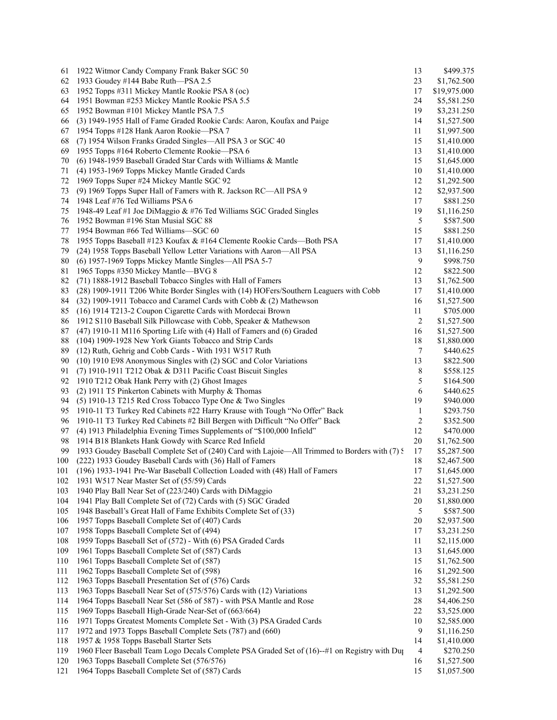| 61  | 1922 Witmor Candy Company Frank Baker SGC 50                                                  | 13           | \$499.375    |
|-----|-----------------------------------------------------------------------------------------------|--------------|--------------|
| 62  | 1933 Goudey #144 Babe Ruth-PSA 2.5                                                            | 23           | \$1,762.500  |
| 63  | 1952 Topps #311 Mickey Mantle Rookie PSA 8 (oc)                                               | 17           | \$19,975.000 |
| 64  | 1951 Bowman #253 Mickey Mantle Rookie PSA 5.5                                                 | 24           | \$5,581.250  |
| 65  | 1952 Bowman #101 Mickey Mantle PSA 7.5                                                        | 19           | \$3,231.250  |
| 66  | (3) 1949-1955 Hall of Fame Graded Rookie Cards: Aaron, Koufax and Paige                       | 14           | \$1,527.500  |
| 67  | 1954 Topps #128 Hank Aaron Rookie—PSA 7                                                       | 11           | \$1,997.500  |
| 68  | (7) 1954 Wilson Franks Graded Singles—All PSA 3 or SGC 40                                     | 15           | \$1,410.000  |
| 69  | 1955 Topps #164 Roberto Clemente Rookie-PSA 6                                                 | 13           | \$1,410.000  |
| 70  | (6) 1948-1959 Baseball Graded Star Cards with Williams & Mantle                               | 15           | \$1,645.000  |
| 71  | (4) 1953-1969 Topps Mickey Mantle Graded Cards                                                | 10           | \$1,410.000  |
| 72  | 1969 Topps Super #24 Mickey Mantle SGC 92                                                     | 12           | \$1,292.500  |
|     |                                                                                               |              |              |
| 73  | (9) 1969 Topps Super Hall of Famers with R. Jackson RC-All PSA 9                              | 12           | \$2,937.500  |
| 74  | 1948 Leaf #76 Ted Williams PSA 6                                                              | 17           | \$881.250    |
| 75  | 1948-49 Leaf #1 Joe DiMaggio & #76 Ted Williams SGC Graded Singles                            | 19           | \$1,116.250  |
| 76  | 1952 Bowman #196 Stan Musial SGC 88                                                           | 5            | \$587.500    |
| 77  | 1954 Bowman #66 Ted Williams—SGC 60                                                           | 15           | \$881.250    |
| 78  | 1955 Topps Baseball #123 Koufax & #164 Clemente Rookie Cards—Both PSA                         | 17           | \$1,410.000  |
| 79  | (24) 1958 Topps Baseball Yellow Letter Variations with Aaron—All PSA                          | 13           | \$1,116.250  |
| 80  | (6) 1957-1969 Topps Mickey Mantle Singles—All PSA 5-7                                         | 9            | \$998.750    |
| 81  | 1965 Topps #350 Mickey Mantle-BVG 8                                                           | 12           | \$822.500    |
| 82  | (71) 1888-1912 Baseball Tobacco Singles with Hall of Famers                                   | 13           | \$1,762.500  |
| 83  | (28) 1909-1911 T206 White Border Singles with (14) HOFers/Southern Leaguers with Cobb         | 17           | \$1,410.000  |
| 84  | (32) 1909-1911 Tobacco and Caramel Cards with Cobb & (2) Mathewson                            | 16           | \$1,527.500  |
| 85  | (16) 1914 T213-2 Coupon Cigarette Cards with Mordecai Brown                                   | 11           | \$705.000    |
| 86  | 1912 S110 Baseball Silk Pillowcase with Cobb, Speaker & Mathewson                             | 2            | \$1,527.500  |
| 87  | (47) 1910-11 M116 Sporting Life with (4) Hall of Famers and (6) Graded                        | 16           | \$1,527.500  |
| 88  | (104) 1909-1928 New York Giants Tobacco and Strip Cards                                       | 18           | \$1,880.000  |
| 89  | (12) Ruth, Gehrig and Cobb Cards - With 1931 W517 Ruth                                        | 7            | \$440.625    |
| 90  | (10) 1910 E98 Anonymous Singles with (2) SGC and Color Variations                             | 13           | \$822.500    |
| 91  | (7) 1910-1911 T212 Obak & D311 Pacific Coast Biscuit Singles                                  | 8            | \$558.125    |
| 92  |                                                                                               | 5            |              |
|     | 1910 T212 Obak Hank Perry with (2) Ghost Images                                               |              | \$164.500    |
| 93  | (2) 1911 T5 Pinkerton Cabinets with Murphy & Thomas                                           | 6            | \$440.625    |
| 94  | (5) 1910-13 T215 Red Cross Tobacco Type One & Two Singles                                     | 19           | \$940.000    |
| 95  | 1910-11 T3 Turkey Red Cabinets #22 Harry Krause with Tough "No Offer" Back                    | $\mathbf{1}$ | \$293.750    |
| 96  | 1910-11 T3 Turkey Red Cabinets #2 Bill Bergen with Difficult "No Offer" Back                  | 2            | \$352.500    |
| 97  | (4) 1913 Philadelphia Evening Times Supplements of "\$100,000 Infield"                        | 12           | \$470.000    |
| 98  | 1914 B18 Blankets Hank Gowdy with Scarce Red Infield                                          | 20           | \$1,762.500  |
| 99  | 1933 Goudey Baseball Complete Set of (240) Card with Lajoie—All Trimmed to Borders with (7) § | 17           | \$5,287.500  |
| 100 | (222) 1933 Goudey Baseball Cards with (36) Hall of Famers                                     | 18           | \$2,467.500  |
| 101 | (196) 1933-1941 Pre-War Baseball Collection Loaded with (48) Hall of Famers                   | 17           | \$1,645.000  |
| 102 | 1931 W517 Near Master Set of (55/59) Cards                                                    | 22           | \$1,527.500  |
| 103 | 1940 Play Ball Near Set of (223/240) Cards with DiMaggio                                      | 21           | \$3,231.250  |
| 104 | 1941 Play Ball Complete Set of (72) Cards with (5) SGC Graded                                 | 20           | \$1,880.000  |
| 105 | 1948 Baseball's Great Hall of Fame Exhibits Complete Set of (33)                              | 5            | \$587.500    |
| 106 | 1957 Topps Baseball Complete Set of (407) Cards                                               | 20           | \$2,937.500  |
| 107 | 1958 Topps Baseball Complete Set of (494)                                                     | 17           | \$3,231.250  |
| 108 | 1959 Topps Baseball Set of (572) - With (6) PSA Graded Cards                                  | 11           | \$2,115.000  |
| 109 | 1961 Topps Baseball Complete Set of (587) Cards                                               | 13           | \$1,645.000  |
| 110 | 1961 Topps Baseball Complete Set of (587)                                                     | 15           | \$1,762.500  |
|     |                                                                                               |              | \$1,292.500  |
| 111 | 1962 Topps Baseball Complete Set of (598)                                                     | 16           |              |
| 112 | 1963 Topps Baseball Presentation Set of (576) Cards                                           | 32           | \$5,581.250  |
| 113 | 1963 Topps Baseball Near Set of (575/576) Cards with (12) Variations                          | 13           | \$1,292.500  |
| 114 | 1964 Topps Baseball Near Set (586 of 587) - with PSA Mantle and Rose                          | 28           | \$4,406.250  |
| 115 | 1969 Topps Baseball High-Grade Near-Set of (663/664)                                          | 22           | \$3,525.000  |
| 116 | 1971 Topps Greatest Moments Complete Set - With (3) PSA Graded Cards                          | 10           | \$2,585.000  |
| 117 | 1972 and 1973 Topps Baseball Complete Sets (787) and (660)                                    | 9            | \$1,116.250  |
| 118 | 1957 & 1958 Topps Baseball Starter Sets                                                       | 14           | \$1,410.000  |
| 119 | 1960 Fleer Baseball Team Logo Decals Complete PSA Graded Set of (16)--#1 on Registry with Duj | 4            | \$270.250    |
| 120 | 1963 Topps Baseball Complete Set (576/576)                                                    | 16           | \$1,527.500  |
| 121 | 1964 Topps Baseball Complete Set of (587) Cards                                               | 15           | \$1,057.500  |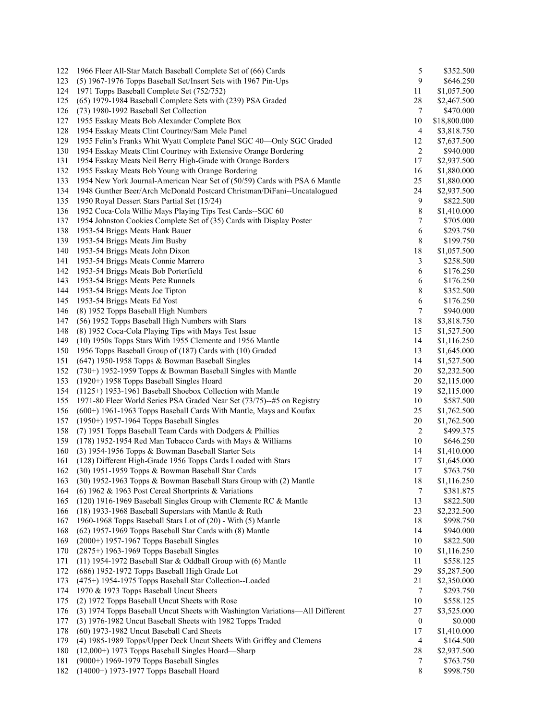| 122 | 1966 Fleer All-Star Match Baseball Complete Set of (66) Cards                 | 5                | \$352.500    |
|-----|-------------------------------------------------------------------------------|------------------|--------------|
| 123 | (5) 1967-1976 Topps Baseball Set/Insert Sets with 1967 Pin-Ups                | 9                | \$646.250    |
| 124 | 1971 Topps Baseball Complete Set (752/752)                                    | 11               | \$1,057.500  |
| 125 | (65) 1979-1984 Baseball Complete Sets with (239) PSA Graded                   | 28               | \$2,467.500  |
| 126 | (73) 1980-1992 Baseball Set Collection                                        | 7                | \$470.000    |
| 127 | 1955 Esskay Meats Bob Alexander Complete Box                                  | 10               | \$18,800.000 |
| 128 | 1954 Esskay Meats Clint Courtney/Sam Mele Panel                               | 4                | \$3,818.750  |
| 129 | 1955 Felin's Franks Whit Wyatt Complete Panel SGC 40—Only SGC Graded          | 12               | \$7,637.500  |
| 130 | 1954 Esskay Meats Clint Courtney with Extensive Orange Bordering              | $\overline{2}$   | \$940.000    |
| 131 | 1954 Esskay Meats Neil Berry High-Grade with Orange Borders                   | 17               | \$2,937.500  |
| 132 | 1955 Esskay Meats Bob Young with Orange Bordering                             | 16               | \$1,880.000  |
| 133 | 1954 New York Journal-American Near Set of (50/59) Cards with PSA 6 Mantle    | 25               | \$1,880.000  |
| 134 | 1948 Gunther Beer/Arch McDonald Postcard Christman/DiFani--Uncatalogued       | 24               | \$2,937.500  |
| 135 | 1950 Royal Dessert Stars Partial Set (15/24)                                  | 9                | \$822.500    |
| 136 |                                                                               | 8                |              |
| 137 | 1952 Coca-Cola Willie Mays Playing Tips Test Cards--SGC 60                    | 7                | \$1,410.000  |
|     | 1954 Johnston Cookies Complete Set of (35) Cards with Display Poster          |                  | \$705.000    |
| 138 | 1953-54 Briggs Meats Hank Bauer                                               | 6                | \$293.750    |
| 139 | 1953-54 Briggs Meats Jim Busby                                                | 8                | \$199.750    |
| 140 | 1953-54 Briggs Meats John Dixon                                               | 18               | \$1,057.500  |
| 141 | 1953-54 Briggs Meats Connie Marrero                                           | 3                | \$258.500    |
| 142 | 1953-54 Briggs Meats Bob Porterfield                                          | 6                | \$176.250    |
| 143 | 1953-54 Briggs Meats Pete Runnels                                             | 6                | \$176.250    |
| 144 | 1953-54 Briggs Meats Joe Tipton                                               | 8                | \$352.500    |
| 145 | 1953-54 Briggs Meats Ed Yost                                                  | 6                | \$176.250    |
| 146 | (8) 1952 Topps Baseball High Numbers                                          | 7                | \$940.000    |
| 147 | (56) 1952 Topps Baseball High Numbers with Stars                              | 18               | \$3,818.750  |
| 148 | (8) 1952 Coca-Cola Playing Tips with Mays Test Issue                          | 15               | \$1,527.500  |
| 149 | (10) 1950s Topps Stars With 1955 Clemente and 1956 Mantle                     | 14               | \$1,116.250  |
| 150 | 1956 Topps Baseball Group of (187) Cards with (10) Graded                     | 13               | \$1,645.000  |
| 151 | $(647)$ 1950-1958 Topps & Bowman Baseball Singles                             | 14               | \$1,527.500  |
| 152 | $(730+)$ 1952-1959 Topps & Bowman Baseball Singles with Mantle                | 20               | \$2,232.500  |
| 153 | (1920+) 1958 Topps Baseball Singles Hoard                                     | 20               | \$2,115.000  |
| 154 | $(1125+)$ 1953-1961 Baseball Shoebox Collection with Mantle                   | 19               | \$2,115.000  |
| 155 | 1971-80 Fleer World Series PSA Graded Near Set (73/75)--#5 on Registry        | 10               | \$587.500    |
| 156 | (600+) 1961-1963 Topps Baseball Cards With Mantle, Mays and Koufax            | 25               | \$1,762.500  |
| 157 | (1950+) 1957-1964 Topps Baseball Singles                                      | 20               | \$1,762.500  |
| 158 | (7) 1951 Topps Baseball Team Cards with Dodgers & Phillies                    | 2                | \$499.375    |
| 159 | (178) 1952-1954 Red Man Tobacco Cards with Mays & Williams                    | 10               | \$646.250    |
| 160 | (3) 1954-1956 Topps & Bowman Baseball Starter Sets                            | 14               | \$1,410.000  |
| 161 | (128) Different High-Grade 1956 Topps Cards Loaded with Stars                 | 17               | \$1,645.000  |
| 162 | (30) 1951-1959 Topps & Bowman Baseball Star Cards                             | 17               | \$763.750    |
| 163 | (30) 1952-1963 Topps & Bowman Baseball Stars Group with (2) Mantle            | 18               | \$1,116.250  |
| 164 | (6) 1962 & 1963 Post Cereal Shortprints & Variations                          | 7                | \$381.875    |
|     |                                                                               |                  |              |
| 165 | (120) 1916-1969 Baseball Singles Group with Clemente RC & Mantle              | 13               | \$822.500    |
| 166 | (18) 1933-1968 Baseball Superstars with Mantle & Ruth                         | 23               | \$2,232.500  |
| 167 | 1960-1968 Topps Baseball Stars Lot of (20) - With (5) Mantle                  | 18               | \$998.750    |
| 168 | (62) 1957-1969 Topps Baseball Star Cards with (8) Mantle                      | 14               | \$940.000    |
| 169 | (2000+) 1957-1967 Topps Baseball Singles                                      | 10               | \$822.500    |
| 170 | (2875+) 1963-1969 Topps Baseball Singles                                      | 10               | \$1,116.250  |
| 171 | (11) 1954-1972 Baseball Star & Oddball Group with (6) Mantle                  | 11               | \$558.125    |
| 172 | (686) 1952-1972 Topps Baseball High Grade Lot                                 | 29               | \$5,287.500  |
| 173 | (475+) 1954-1975 Topps Baseball Star Collection--Loaded                       | 21               | \$2,350.000  |
| 174 | 1970 & 1973 Topps Baseball Uncut Sheets                                       | 7                | \$293.750    |
| 175 | (2) 1972 Topps Baseball Uncut Sheets with Rose                                | 10               | \$558.125    |
| 176 | (3) 1974 Topps Baseball Uncut Sheets with Washington Variations-All Different | 27               | \$3,525.000  |
| 177 | (3) 1976-1982 Uncut Baseball Sheets with 1982 Topps Traded                    | $\boldsymbol{0}$ | \$0.000      |
| 178 | (60) 1973-1982 Uncut Baseball Card Sheets                                     | 17               | \$1,410.000  |
| 179 | (4) 1985-1989 Topps/Upper Deck Uncut Sheets With Griffey and Clemens          | 4                | \$164.500    |
| 180 | (12,000+) 1973 Topps Baseball Singles Hoard—Sharp                             | 28               | \$2,937.500  |
| 181 | (9000+) 1969-1979 Topps Baseball Singles                                      | 7                | \$763.750    |
| 182 | (14000+) 1973-1977 Topps Baseball Hoard                                       | $\,$ 8 $\,$      | \$998.750    |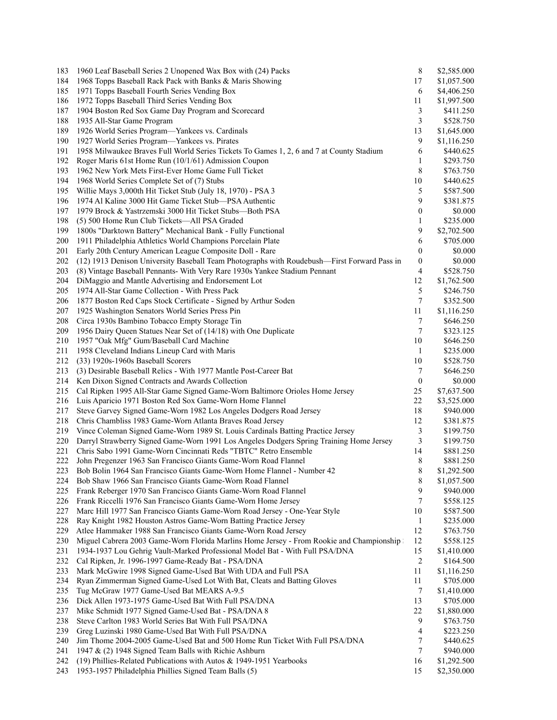| 183 | 1960 Leaf Baseball Series 2 Unopened Wax Box with (24) Packs                                | 8                       | \$2,585.000 |
|-----|---------------------------------------------------------------------------------------------|-------------------------|-------------|
| 184 | 1968 Topps Baseball Rack Pack with Banks & Maris Showing                                    | 17                      | \$1,057.500 |
| 185 | 1971 Topps Baseball Fourth Series Vending Box                                               | 6                       | \$4,406.250 |
| 186 | 1972 Topps Baseball Third Series Vending Box                                                | 11                      | \$1,997.500 |
| 187 | 1904 Boston Red Sox Game Day Program and Scorecard                                          | 3                       | \$411.250   |
| 188 | 1935 All-Star Game Program                                                                  | 3                       | \$528.750   |
| 189 | 1926 World Series Program-Yankees vs. Cardinals                                             | 13                      | \$1,645.000 |
| 190 | 1927 World Series Program—Yankees vs. Pirates                                               | 9                       | \$1,116.250 |
| 191 | 1958 Milwaukee Braves Full World Series Tickets To Games 1, 2, 6 and 7 at County Stadium    | 6                       | \$440.625   |
| 192 | Roger Maris 61st Home Run (10/1/61) Admission Coupon                                        | 1                       | \$293.750   |
| 193 | 1962 New York Mets First-Ever Home Game Full Ticket                                         | 8                       | \$763.750   |
| 194 | 1968 World Series Complete Set of (7) Stubs                                                 | 10                      | \$440.625   |
|     |                                                                                             |                         | \$587.500   |
| 195 | Willie Mays 3,000th Hit Ticket Stub (July 18, 1970) - PSA 3                                 | 5                       |             |
| 196 | 1974 Al Kaline 3000 Hit Game Ticket Stub—PSA Authentic                                      | 9                       | \$381.875   |
| 197 | 1979 Brock & Yastrzemski 3000 Hit Ticket Stubs-Both PSA                                     | $\boldsymbol{0}$        | \$0.000     |
| 198 | (5) 500 Home Run Club Tickets-All PSA Graded                                                | 1                       | \$235.000   |
| 199 | 1800s "Darktown Battery" Mechanical Bank - Fully Functional                                 | 9                       | \$2,702.500 |
| 200 | 1911 Philadelphia Athletics World Champions Porcelain Plate                                 | 6                       | \$705.000   |
| 201 | Early 20th Century American League Composite Doll - Rare                                    | 0                       | \$0.000     |
| 202 | (12) 1913 Denison University Baseball Team Photographs with Roudebush-First Forward Pass in | 0                       | \$0.000     |
| 203 | (8) Vintage Baseball Pennants- With Very Rare 1930s Yankee Stadium Pennant                  | 4                       | \$528.750   |
| 204 | DiMaggio and Mantle Advertising and Endorsement Lot                                         | 12                      | \$1,762.500 |
| 205 | 1974 All-Star Game Collection - With Press Pack                                             | 5                       | \$246.750   |
| 206 | 1877 Boston Red Caps Stock Certificate - Signed by Arthur Soden                             | 7                       | \$352.500   |
| 207 | 1925 Washington Senators World Series Press Pin                                             | 11                      | \$1,116.250 |
| 208 | Circa 1930s Bambino Tobacco Empty Storage Tin                                               | 7                       | \$646.250   |
| 209 | 1956 Dairy Queen Statues Near Set of (14/18) with One Duplicate                             | 7                       | \$323.125   |
| 210 | 1957 "Oak Mfg" Gum/Baseball Card Machine                                                    | 10                      | \$646.250   |
| 211 | 1958 Cleveland Indians Lineup Card with Maris                                               | 1                       | \$235.000   |
|     |                                                                                             |                         |             |
| 212 | (33) 1920s-1960s Baseball Scorers                                                           | 10                      | \$528.750   |
| 213 | (3) Desirable Baseball Relics - With 1977 Mantle Post-Career Bat                            | 7                       | \$646.250   |
| 214 | Ken Dixon Signed Contracts and Awards Collection                                            | 0                       | \$0.000     |
| 215 | Cal Ripken 1995 All-Star Game Signed Game-Worn Baltimore Orioles Home Jersey                | 25                      | \$7,637.500 |
| 216 | Luis Aparicio 1971 Boston Red Sox Game-Worn Home Flannel                                    | 22                      | \$3,525.000 |
| 217 | Steve Garvey Signed Game-Worn 1982 Los Angeles Dodgers Road Jersey                          | 18                      | \$940.000   |
| 218 | Chris Chambliss 1983 Game-Worn Atlanta Braves Road Jersey                                   | 12                      | \$381.875   |
| 219 | Vince Coleman Signed Game-Worn 1989 St. Louis Cardinals Batting Practice Jersey             | 3                       | \$199.750   |
| 220 | Darryl Strawberry Signed Game-Worn 1991 Los Angeles Dodgers Spring Training Home Jersey     | 3                       | \$199.750   |
| 221 | Chris Sabo 1991 Game-Worn Cincinnati Reds "TBTC" Retro Ensemble                             | 14                      | \$881.250   |
| 222 | John Pregenzer 1963 San Francisco Giants Game-Worn Road Flannel                             | 8                       | \$881.250   |
|     | 223 Bob Bolin 1964 San Francisco Giants Game-Worn Home Flannel - Number 42                  | 8                       | \$1,292.500 |
| 224 | Bob Shaw 1966 San Francisco Giants Game-Worn Road Flannel                                   | 8                       | \$1,057.500 |
| 225 | Frank Reberger 1970 San Francisco Giants Game-Worn Road Flannel                             | 9                       | \$940.000   |
| 226 | Frank Riccelli 1976 San Francisco Giants Game-Worn Home Jersey                              | 7                       | \$558.125   |
| 227 | Marc Hill 1977 San Francisco Giants Game-Worn Road Jersey - One-Year Style                  | 10                      | \$587.500   |
| 228 | Ray Knight 1982 Houston Astros Game-Worn Batting Practice Jersey                            | $\mathbf{1}$            | \$235.000   |
| 229 | Atlee Hammaker 1988 San Francisco Giants Game-Worn Road Jersey                              | 12                      | \$763.750   |
| 230 | Miguel Cabrera 2003 Game-Worn Florida Marlins Home Jersey - From Rookie and Championship    | 12                      | \$558.125   |
| 231 | 1934-1937 Lou Gehrig Vault-Marked Professional Model Bat - With Full PSA/DNA                | 15                      | \$1,410.000 |
| 232 |                                                                                             | $\overline{\mathbf{c}}$ | \$164.500   |
|     | Cal Ripken, Jr. 1996-1997 Game-Ready Bat - PSA/DNA                                          |                         |             |
| 233 | Mark McGwire 1998 Signed Game-Used Bat With UDA and Full PSA                                | 11                      | \$1,116.250 |
| 234 | Ryan Zimmerman Signed Game-Used Lot With Bat, Cleats and Batting Gloves                     | 11                      | \$705.000   |
| 235 | Tug McGraw 1977 Game-Used Bat MEARS A-9.5                                                   | 7                       | \$1,410.000 |
| 236 | Dick Allen 1973-1975 Game-Used Bat With Full PSA/DNA                                        | 13                      | \$705.000   |
| 237 | Mike Schmidt 1977 Signed Game-Used Bat - PSA/DNA 8                                          | 22                      | \$1,880.000 |
| 238 | Steve Carlton 1983 World Series Bat With Full PSA/DNA                                       | 9                       | \$763.750   |
| 239 | Greg Luzinski 1980 Game-Used Bat With Full PSA/DNA                                          | 4                       | \$223.250   |
| 240 | Jim Thome 2004-2005 Game-Used Bat and 500 Home Run Ticket With Full PSA/DNA                 | 7                       | \$440.625   |
| 241 | 1947 & (2) 1948 Signed Team Balls with Richie Ashburn                                       | 7                       | \$940.000   |
| 242 | (19) Phillies-Related Publications with Autos & 1949-1951 Yearbooks                         | 16                      | \$1,292.500 |
| 243 | 1953-1957 Philadelphia Phillies Signed Team Balls (5)                                       | 15                      | \$2,350.000 |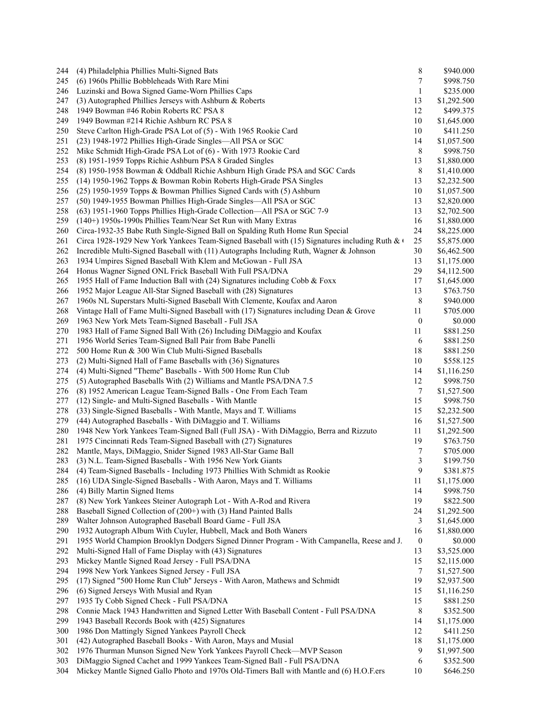| 244 | (4) Philadelphia Phillies Multi-Signed Bats                                                 | 8                | \$940.000                |
|-----|---------------------------------------------------------------------------------------------|------------------|--------------------------|
| 245 | (6) 1960s Phillie Bobbleheads With Rare Mini                                                | 7                | \$998.750                |
| 246 | Luzinski and Bowa Signed Game-Worn Phillies Caps                                            | 1                | \$235.000                |
| 247 | $(3)$ Autographed Phillies Jerseys with Ashburn & Roberts                                   | 13               | \$1,292.500              |
| 248 | 1949 Bowman #46 Robin Roberts RC PSA 8                                                      | 12               | \$499.375                |
| 249 | 1949 Bowman #214 Richie Ashburn RC PSA 8                                                    | 10               | \$1,645.000              |
| 250 | Steve Carlton High-Grade PSA Lot of (5) - With 1965 Rookie Card                             | 10               | \$411.250                |
| 251 | (23) 1948-1972 Phillies High-Grade Singles—All PSA or SGC                                   | 14               | \$1,057.500              |
| 252 | Mike Schmidt High-Grade PSA Lot of (6) - With 1973 Rookie Card                              | 8                | \$998.750                |
| 253 | (8) 1951-1959 Topps Richie Ashburn PSA 8 Graded Singles                                     | 13               | \$1,880.000              |
| 254 | (8) 1950-1958 Bowman & Oddball Richie Ashburn High Grade PSA and SGC Cards                  | 8                | \$1,410.000              |
| 255 | (14) 1950-1962 Topps & Bowman Robin Roberts High-Grade PSA Singles                          | 13               | \$2,232.500              |
| 256 | (25) 1950-1959 Topps & Bowman Phillies Signed Cards with (5) Ashburn                        | 10               | \$1,057.500              |
| 257 | (50) 1949-1955 Bowman Phillies High-Grade Singles-All PSA or SGC                            | 13               | \$2,820.000              |
| 258 | (63) 1951-1960 Topps Phillies High-Grade Collection—All PSA or SGC 7-9                      | 13               | \$2,702.500              |
| 259 | $(140+)$ 1950s-1990s Phillies Team/Near Set Run with Many Extras                            | 16               | \$1,880.000              |
| 260 | Circa-1932-35 Babe Ruth Single-Signed Ball on Spalding Ruth Home Run Special                | 24               | \$8,225.000              |
| 261 | Circa 1928-1929 New York Yankees Team-Signed Baseball with (15) Signatures including Ruth & | 25               | \$5,875.000              |
| 262 | Incredible Multi-Signed Baseball with $(11)$ Autographs Including Ruth, Wagner & Johnson    | 30               | \$6,462.500              |
| 263 | 1934 Umpires Signed Baseball With Klem and McGowan - Full JSA                               | 13               | \$1,175.000              |
| 264 | Honus Wagner Signed ONL Frick Baseball With Full PSA/DNA                                    | 29               | \$4,112.500              |
| 265 | 1955 Hall of Fame Induction Ball with (24) Signatures including Cobb & Foxx                 | 17               |                          |
| 266 |                                                                                             | 13               | \$1,645.000<br>\$763.750 |
|     | 1952 Major League All-Star Signed Baseball with (28) Signatures                             |                  |                          |
| 267 | 1960s NL Superstars Multi-Signed Baseball With Clemente, Koufax and Aaron                   | 8                | \$940.000                |
| 268 | Vintage Hall of Fame Multi-Signed Baseball with $(17)$ Signatures including Dean & Grove    | 11               | \$705.000                |
| 269 | 1963 New York Mets Team-Signed Baseball - Full JSA                                          | $\boldsymbol{0}$ | \$0.000                  |
| 270 | 1983 Hall of Fame Signed Ball With (26) Including DiMaggio and Koufax                       | 11               | \$881.250                |
| 271 | 1956 World Series Team-Signed Ball Pair from Babe Panelli                                   | 6                | \$881.250                |
| 272 | 500 Home Run & 300 Win Club Multi-Signed Baseballs                                          | 18               | \$881.250                |
| 273 | (2) Multi-Signed Hall of Fame Baseballs with (36) Signatures                                | 10               | \$558.125                |
| 274 | (4) Multi-Signed "Theme" Baseballs - With 500 Home Run Club                                 | 14               | \$1,116.250              |
| 275 | (5) Autographed Baseballs With (2) Williams and Mantle PSA/DNA 7.5                          | 12               | \$998.750                |
| 276 | (8) 1952 American League Team-Signed Balls - One From Each Team                             | 7                | \$1,527.500              |
| 277 | (12) Single- and Multi-Signed Baseballs - With Mantle                                       | 15               | \$998.750                |
| 278 | (33) Single-Signed Baseballs - With Mantle, Mays and T. Williams                            | 15               | \$2,232.500              |
| 279 | (44) Autographed Baseballs - With DiMaggio and T. Williams                                  | 16               | \$1,527.500              |
| 280 | 1948 New York Yankees Team-Signed Ball (Full JSA) - With DiMaggio, Berra and Rizzuto        | 11               | \$1,292.500              |
| 281 | 1975 Cincinnati Reds Team-Signed Baseball with (27) Signatures                              | 19               | \$763.750                |
| 282 | Mantle, Mays, DiMaggio, Snider Signed 1983 All-Star Game Ball                               | 7                | \$705.000                |
| 283 | (3) N.L. Team-Signed Baseballs - With 1956 New York Giants                                  | 3                | \$199.750                |
| 284 | (4) Team-Signed Baseballs - Including 1973 Phillies With Schmidt as Rookie                  | 9                | \$381.875                |
| 285 | (16) UDA Single-Signed Baseballs - With Aaron, Mays and T. Williams                         | 11               | \$1,175.000              |
| 286 | (4) Billy Martin Signed Items                                                               | 14               | \$998.750                |
| 287 | (8) New York Yankees Steiner Autograph Lot - With A-Rod and Rivera                          | 19               | \$822.500                |
| 288 | Baseball Signed Collection of (200+) with (3) Hand Painted Balls                            | 24               | \$1,292.500              |
| 289 | Walter Johnson Autographed Baseball Board Game - Full JSA                                   | 3                | \$1,645.000              |
| 290 | 1932 Autograph Album With Cuyler, Hubbell, Mack and Both Waners                             | 16               | \$1,880.000              |
| 291 | 1955 World Champion Brooklyn Dodgers Signed Dinner Program - With Campanella, Reese and J.  | $\boldsymbol{0}$ | \$0.000                  |
| 292 | Multi-Signed Hall of Fame Display with (43) Signatures                                      | 13               | \$3,525.000              |
| 293 | Mickey Mantle Signed Road Jersey - Full PSA/DNA                                             | 15               | \$2,115.000              |
| 294 | 1998 New York Yankees Signed Jersey - Full JSA                                              | 7                | \$1,527.500              |
| 295 | (17) Signed "500 Home Run Club" Jerseys - With Aaron, Mathews and Schmidt                   | 19               | \$2,937.500              |
| 296 | (6) Signed Jerseys With Musial and Ryan                                                     | 15               | \$1,116.250              |
| 297 | 1935 Ty Cobb Signed Check - Full PSA/DNA                                                    | 15               | \$881.250                |
| 298 | Connie Mack 1943 Handwritten and Signed Letter With Baseball Content - Full PSA/DNA         | 8                | \$352.500                |
| 299 | 1943 Baseball Records Book with (425) Signatures                                            | 14               | \$1,175.000              |
| 300 | 1986 Don Mattingly Signed Yankees Payroll Check                                             | 12               | \$411.250                |
| 301 | (42) Autographed Baseball Books - With Aaron, Mays and Musial                               | 18               | \$1,175.000              |
| 302 | 1976 Thurman Munson Signed New York Yankees Payroll Check-MVP Season                        | 9                | \$1,997.500              |
| 303 | DiMaggio Signed Cachet and 1999 Yankees Team-Signed Ball - Full PSA/DNA                     | 6                | \$352.500                |
| 304 | Mickey Mantle Signed Gallo Photo and 1970s Old-Timers Ball with Mantle and (6) H.O.F.ers    | 10               | \$646.250                |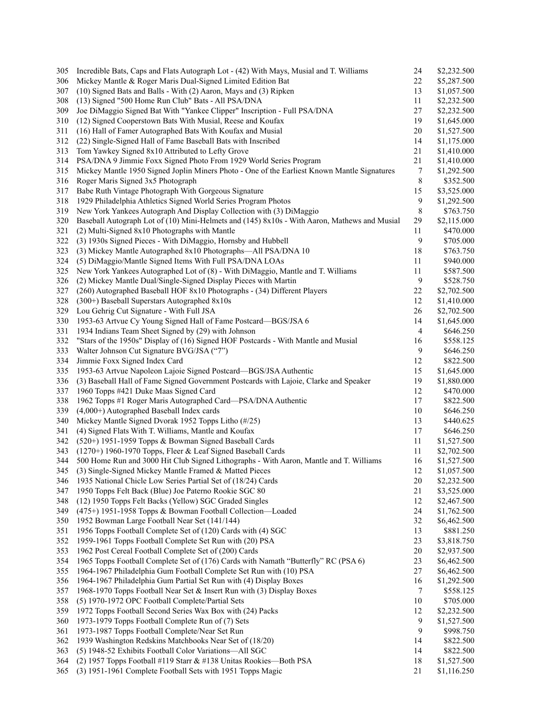| 305 | Incredible Bats, Caps and Flats Autograph Lot - (42) With Mays, Musial and T. Williams       | 24               | \$2,232.500 |
|-----|----------------------------------------------------------------------------------------------|------------------|-------------|
| 306 | Mickey Mantle & Roger Maris Dual-Signed Limited Edition Bat                                  | 22               | \$5,287.500 |
| 307 | (10) Signed Bats and Balls - With (2) Aaron, Mays and (3) Ripken                             | 13               | \$1,057.500 |
| 308 | (13) Signed "500 Home Run Club" Bats - All PSA/DNA                                           | 11               | \$2,232.500 |
| 309 | Joe DiMaggio Signed Bat With "Yankee Clipper" Inscription - Full PSA/DNA                     | $27\,$           | \$2,232.500 |
| 310 | (12) Signed Cooperstown Bats With Musial, Reese and Koufax                                   | 19               | \$1,645.000 |
| 311 | (16) Hall of Famer Autographed Bats With Koufax and Musial                                   | 20               | \$1,527.500 |
| 312 | (22) Single-Signed Hall of Fame Baseball Bats with Inscribed                                 | 14               | \$1,175.000 |
| 313 | Tom Yawkey Signed 8x10 Attributed to Lefty Grove                                             | 21               | \$1,410.000 |
| 314 | PSA/DNA 9 Jimmie Foxx Signed Photo From 1929 World Series Program                            | 21               | \$1,410.000 |
| 315 | Mickey Mantle 1950 Signed Joplin Miners Photo - One of the Earliest Known Mantle Signatures  | 7                | \$1,292.500 |
| 316 | Roger Maris Signed 3x5 Photograph                                                            | $\,$ 8 $\,$      | \$352.500   |
| 317 | Babe Ruth Vintage Photograph With Gorgeous Signature                                         | 15               | \$3,525.000 |
| 318 | 1929 Philadelphia Athletics Signed World Series Program Photos                               | 9                | \$1,292.500 |
|     |                                                                                              |                  |             |
| 319 | New York Yankees Autograph And Display Collection with (3) DiMaggio                          | 8                | \$763.750   |
| 320 | Baseball Autograph Lot of (10) Mini-Helmets and (145) 8x10s - With Aaron, Mathews and Musial | 29               | \$2,115.000 |
| 321 | (2) Multi-Signed 8x10 Photographs with Mantle                                                | 11               | \$470.000   |
| 322 | (3) 1930s Signed Pieces - With DiMaggio, Hornsby and Hubbell                                 | 9                | \$705.000   |
| 323 | (3) Mickey Mantle Autographed 8x10 Photographs—All PSA/DNA 10                                | 18               | \$763.750   |
| 324 | (5) DiMaggio/Mantle Signed Items With Full PSA/DNA LOAs                                      | 11               | \$940.000   |
| 325 | New York Yankees Autographed Lot of (8) - With DiMaggio, Mantle and T. Williams              | 11               | \$587.500   |
| 326 | (2) Mickey Mantle Dual/Single-Signed Display Pieces with Martin                              | $\boldsymbol{9}$ | \$528.750   |
| 327 | (260) Autographed Baseball HOF 8x10 Photographs - (34) Different Players                     | 22               | \$2,702.500 |
| 328 | (300+) Baseball Superstars Autographed 8x10s                                                 | 12               | \$1,410.000 |
| 329 | Lou Gehrig Cut Signature - With Full JSA                                                     | 26               | \$2,702.500 |
| 330 | 1953-63 Artvue Cy Young Signed Hall of Fame Postcard—BGS/JSA 6                               | 14               | \$1,645.000 |
| 331 | 1934 Indians Team Sheet Signed by (29) with Johnson                                          | $\overline{4}$   | \$646.250   |
| 332 | "Stars of the 1950s" Display of (16) Signed HOF Postcards - With Mantle and Musial           | 16               | \$558.125   |
| 333 | Walter Johnson Cut Signature BVG/JSA ("7")                                                   | 9                | \$646.250   |
| 334 | Jimmie Foxx Signed Index Card                                                                | 12               | \$822.500   |
| 335 | 1953-63 Artvue Napoleon Lajoie Signed Postcard-BGS/JSA Authentic                             | 15               | \$1,645.000 |
| 336 | (3) Baseball Hall of Fame Signed Government Postcards with Lajoie, Clarke and Speaker        | 19               | \$1,880.000 |
| 337 | 1960 Topps #421 Duke Maas Signed Card                                                        | 12               | \$470.000   |
| 338 | 1962 Topps #1 Roger Maris Autographed Card—PSA/DNA Authentic                                 | 17               | \$822.500   |
| 339 | $(4,000+)$ Autographed Baseball Index cards                                                  | 10               | \$646.250   |
| 340 | Mickey Mantle Signed Dvorak 1952 Topps Litho (#/25)                                          | 13               | \$440.625   |
| 341 | (4) Signed Flats With T. Williams, Mantle and Koufax                                         | 17               | \$646.250   |
| 342 | (520+) 1951-1959 Topps & Bowman Signed Baseball Cards                                        | 11               | \$1,527.500 |
|     | (1270+) 1960-1970 Topps, Fleer & Leaf Signed Baseball Cards                                  |                  |             |
| 343 |                                                                                              | 11               | \$2,702.500 |
| 344 | 500 Home Run and 3000 Hit Club Signed Lithographs - With Aaron, Mantle and T. Williams       | 16               | \$1,527.500 |
| 345 | (3) Single-Signed Mickey Mantle Framed & Matted Pieces                                       | 12               | \$1,057.500 |
| 346 | 1935 National Chicle Low Series Partial Set of (18/24) Cards                                 | 20               | \$2,232.500 |
| 347 | 1950 Topps Felt Back (Blue) Joe Paterno Rookie SGC 80                                        | 21               | \$3,525.000 |
| 348 | (12) 1950 Topps Felt Backs (Yellow) SGC Graded Singles                                       | 12               | \$2,467.500 |
| 349 | (475+) 1951-1958 Topps & Bowman Football Collection-Loaded                                   | 24               | \$1,762.500 |
| 350 | 1952 Bowman Large Football Near Set (141/144)                                                | 32               | \$6,462.500 |
| 351 | 1956 Topps Football Complete Set of (120) Cards with (4) SGC                                 | 13               | \$881.250   |
| 352 | 1959-1961 Topps Football Complete Set Run with (20) PSA                                      | 23               | \$3,818.750 |
| 353 | 1962 Post Cereal Football Complete Set of (200) Cards                                        | 20               | \$2,937.500 |
| 354 | 1965 Topps Football Complete Set of (176) Cards with Namath "Butterfly" RC (PSA 6)           | 23               | \$6,462.500 |
| 355 | 1964-1967 Philadelphia Gum Football Complete Set Run with (10) PSA                           | 27               | \$6,462.500 |
| 356 | 1964-1967 Philadelphia Gum Partial Set Run with (4) Display Boxes                            | 16               | \$1,292.500 |
| 357 | 1968-1970 Topps Football Near Set & Insert Run with (3) Display Boxes                        | $\tau$           | \$558.125   |
| 358 | (5) 1970-1972 OPC Football Complete/Partial Sets                                             | $10\,$           | \$705.000   |
| 359 | 1972 Topps Football Second Series Wax Box with (24) Packs                                    | 12               | \$2,232.500 |
| 360 | 1973-1979 Topps Football Complete Run of (7) Sets                                            | 9                | \$1,527.500 |
| 361 | 1973-1987 Topps Football Complete/Near Set Run                                               | 9                | \$998.750   |
| 362 | 1939 Washington Redskins Matchbooks Near Set of (18/20)                                      | 14               | \$822.500   |
| 363 | (5) 1948-52 Exhibits Football Color Variations-All SGC                                       | 14               | \$822.500   |
| 364 | (2) 1957 Topps Football #119 Starr & #138 Unitas Rookies-Both PSA                            | 18               | \$1,527.500 |
| 365 | (3) 1951-1961 Complete Football Sets with 1951 Topps Magic                                   | 21               | \$1,116.250 |
|     |                                                                                              |                  |             |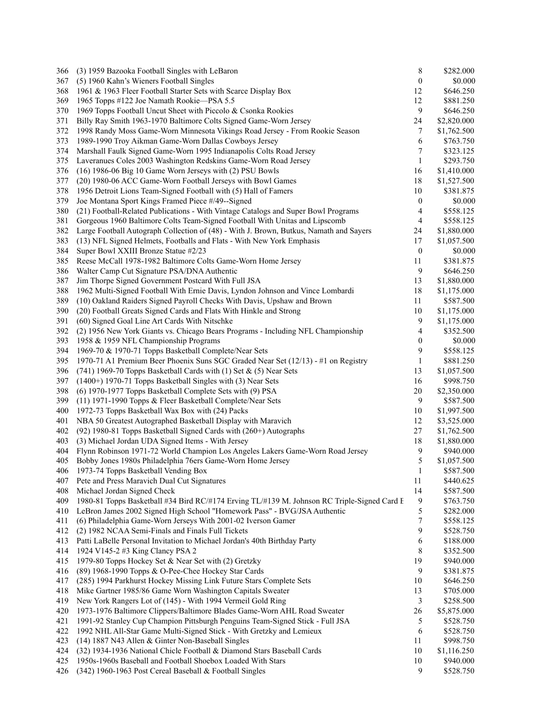| 366 | (3) 1959 Bazooka Football Singles with LeBaron                                              | 8                | \$282.000   |
|-----|---------------------------------------------------------------------------------------------|------------------|-------------|
| 367 | (5) 1960 Kahn's Wieners Football Singles                                                    | $\boldsymbol{0}$ | \$0.000     |
| 368 | 1961 & 1963 Fleer Football Starter Sets with Scarce Display Box                             | 12               | \$646.250   |
| 369 | 1965 Topps #122 Joe Namath Rookie—PSA 5.5                                                   | 12               | \$881.250   |
| 370 | 1969 Topps Football Uncut Sheet with Piccolo & Csonka Rookies                               | 9                | \$646.250   |
| 371 | Billy Ray Smith 1963-1970 Baltimore Colts Signed Game-Worn Jersey                           | 24               | \$2,820.000 |
| 372 | 1998 Randy Moss Game-Worn Minnesota Vikings Road Jersey - From Rookie Season                | 7                | \$1,762.500 |
| 373 | 1989-1990 Troy Aikman Game-Worn Dallas Cowboys Jersey                                       | 6                | \$763.750   |
| 374 | Marshall Faulk Signed Game-Worn 1995 Indianapolis Colts Road Jersey                         | 7                | \$323.125   |
| 375 | Laveranues Coles 2003 Washington Redskins Game-Worn Road Jersey                             | $\mathbf{1}$     | \$293.750   |
| 376 | (16) 1986-06 Big 10 Game Worn Jerseys with (2) PSU Bowls                                    | 16               | \$1,410.000 |
| 377 | (20) 1980-06 ACC Game-Worn Football Jerseys with Bowl Games                                 | 18               | \$1,527.500 |
| 378 | 1956 Detroit Lions Team-Signed Football with (5) Hall of Famers                             | 10               | \$381.875   |
| 379 | Joe Montana Sport Kings Framed Piece #/49--Signed                                           | $\boldsymbol{0}$ | \$0.000     |
| 380 | (21) Football-Related Publications - With Vintage Catalogs and Super Bowl Programs          | 4                | \$558.125   |
| 381 | Gorgeous 1960 Baltimore Colts Team-Signed Football With Unitas and Lipscomb                 | 4                | \$558.125   |
| 382 | Large Football Autograph Collection of (48) - With J. Brown, Butkus, Namath and Sayers      | 24               | \$1,880.000 |
| 383 | (13) NFL Signed Helmets, Footballs and Flats - With New York Emphasis                       | 17               | \$1,057.500 |
| 384 | Super Bowl XXIII Bronze Statue #2/23                                                        | $\boldsymbol{0}$ | \$0.000     |
| 385 | Reese McCall 1978-1982 Baltimore Colts Game-Worn Home Jersey                                | 11               |             |
|     |                                                                                             |                  | \$381.875   |
| 386 | Walter Camp Cut Signature PSA/DNA Authentic                                                 | 9                | \$646.250   |
| 387 | Jim Thorpe Signed Government Postcard With Full JSA                                         | 13               | \$1,880.000 |
| 388 | 1962 Multi-Signed Football With Ernie Davis, Lyndon Johnson and Vince Lombardi              | 18               | \$1,175.000 |
| 389 | (10) Oakland Raiders Signed Payroll Checks With Davis, Upshaw and Brown                     | 11               | \$587.500   |
| 390 | (20) Football Greats Signed Cards and Flats With Hinkle and Strong                          | 10               | \$1,175.000 |
| 391 | (60) Signed Goal Line Art Cards With Nitschke                                               | 9                | \$1,175.000 |
| 392 | (2) 1956 New York Giants vs. Chicago Bears Programs - Including NFL Championship            | 4                | \$352.500   |
| 393 | 1958 & 1959 NFL Championship Programs                                                       | $\boldsymbol{0}$ | \$0.000     |
| 394 | 1969-70 & 1970-71 Topps Basketball Complete/Near Sets                                       | 9                | \$558.125   |
| 395 | 1970-71 A1 Premium Beer Phoenix Suns SGC Graded Near Set (12/13) - #1 on Registry           | 1                | \$881.250   |
| 396 | (741) 1969-70 Topps Basketball Cards with (1) Set & (5) Near Sets                           | 13               | \$1,057.500 |
| 397 | (1400+) 1970-71 Topps Basketball Singles with (3) Near Sets                                 | 16               | \$998.750   |
| 398 | (6) 1970-1977 Topps Basketball Complete Sets with (9) PSA                                   | 20               | \$2,350.000 |
| 399 | (11) 1971-1990 Topps & Fleer Basketball Complete/Near Sets                                  | 9                | \$587.500   |
| 400 | 1972-73 Topps Basketball Wax Box with (24) Packs                                            | 10               | \$1,997.500 |
| 401 | NBA 50 Greatest Autographed Basketball Display with Maravich                                | 12               | \$3,525.000 |
| 402 | (92) 1980-81 Topps Basketball Signed Cards with (260+) Autographs                           | 27               | \$1,762.500 |
| 403 | (3) Michael Jordan UDA Signed Items - With Jersey                                           | 18               | \$1,880.000 |
| 404 | Flynn Robinson 1971-72 World Champion Los Angeles Lakers Game-Worn Road Jersey              | 9                | \$940.000   |
| 405 | Bobby Jones 1980s Philadelphia 76ers Game-Worn Home Jersey                                  | 5                | \$1,057.500 |
| 406 | 1973-74 Topps Basketball Vending Box                                                        | 1                | \$587.500   |
| 407 | Pete and Press Maravich Dual Cut Signatures                                                 | 11               | \$440.625   |
| 408 | Michael Jordan Signed Check                                                                 | 14               | \$587.500   |
| 409 | 1980-81 Topps Basketball #34 Bird RC/#174 Erving TL/#139 M. Johnson RC Triple-Signed Card F | 9                | \$763.750   |
| 410 | LeBron James 2002 Signed High School "Homework Pass" - BVG/JSA Authentic                    | 5                | \$282.000   |
| 411 | (6) Philadelphia Game-Worn Jerseys With 2001-02 Iverson Gamer                               | 7                | \$558.125   |
| 412 | (2) 1982 NCAA Semi-Finals and Finals Full Tickets                                           | 9                | \$528.750   |
| 413 | Patti LaBelle Personal Invitation to Michael Jordan's 40th Birthday Party                   | 6                | \$188.000   |
| 414 | 1924 V145-2 #3 King Clancy PSA 2                                                            | 8                | \$352.500   |
| 415 | 1979-80 Topps Hockey Set & Near Set with (2) Gretzky                                        | 19               | \$940.000   |
| 416 | (89) 1968-1990 Topps & O-Pee-Chee Hockey Star Cards                                         | 9                | \$381.875   |
| 417 | (285) 1994 Parkhurst Hockey Missing Link Future Stars Complete Sets                         | 10               | \$646.250   |
| 418 | Mike Gartner 1985/86 Game Worn Washington Capitals Sweater                                  | 13               | \$705.000   |
| 419 | New York Rangers Lot of (145) - With 1994 Vermeil Gold Ring                                 | 3                | \$258.500   |
| 420 | 1973-1976 Baltimore Clippers/Baltimore Blades Game-Worn AHL Road Sweater                    | 26               | \$5,875.000 |
| 421 | 1991-92 Stanley Cup Champion Pittsburgh Penguins Team-Signed Stick - Full JSA               | 5                | \$528.750   |
| 422 | 1992 NHL All-Star Game Multi-Signed Stick - With Gretzky and Lemieux                        | 6                | \$528.750   |
| 423 | (14) 1887 N43 Allen & Ginter Non-Baseball Singles                                           | 11               | \$998.750   |
| 424 | (32) 1934-1936 National Chicle Football & Diamond Stars Baseball Cards                      | 10               | \$1,116.250 |
| 425 | 1950s-1960s Baseball and Football Shoebox Loaded With Stars                                 | 10               | \$940.000   |
| 426 | (342) 1960-1963 Post Cereal Baseball & Football Singles                                     | 9                | \$528.750   |
|     |                                                                                             |                  |             |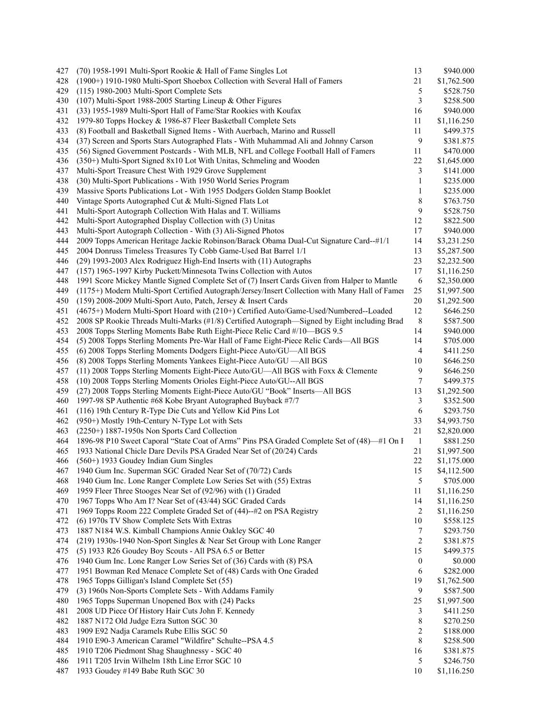| 427 | (70) 1958-1991 Multi-Sport Rookie & Hall of Fame Singles Lot                                    | 13             | \$940.000   |
|-----|-------------------------------------------------------------------------------------------------|----------------|-------------|
| 428 | (1900+) 1910-1980 Multi-Sport Shoebox Collection with Several Hall of Famers                    | 21             | \$1,762.500 |
| 429 | (115) 1980-2003 Multi-Sport Complete Sets                                                       | 5              | \$528.750   |
| 430 | (107) Multi-Sport 1988-2005 Starting Lineup & Other Figures                                     | 3              | \$258.500   |
| 431 | (33) 1955-1989 Multi-Sport Hall of Fame/Star Rookies with Koufax                                | 16             | \$940.000   |
| 432 | 1979-80 Topps Hockey & 1986-87 Fleer Basketball Complete Sets                                   | 11             | \$1,116.250 |
| 433 | (8) Football and Basketball Signed Items - With Auerbach, Marino and Russell                    | 11             | \$499.375   |
| 434 | (37) Screen and Sports Stars Autographed Flats - With Muhammad Ali and Johnny Carson            | 9              | \$381.875   |
| 435 | (56) Signed Government Postcards - With MLB, NFL and College Football Hall of Famers            | 11             | \$470.000   |
| 436 | (350+) Multi-Sport Signed 8x10 Lot With Unitas, Schmeling and Wooden                            | 22             | \$1,645.000 |
| 437 | Multi-Sport Treasure Chest With 1929 Grove Supplement                                           | 3              | \$141.000   |
| 438 | (30) Multi-Sport Publications - With 1950 World Series Program                                  | 1              | \$235.000   |
| 439 | Massive Sports Publications Lot - With 1955 Dodgers Golden Stamp Booklet                        | 1              | \$235.000   |
| 440 | Vintage Sports Autographed Cut & Multi-Signed Flats Lot                                         | 8              | \$763.750   |
| 441 | Multi-Sport Autograph Collection With Halas and T. Williams                                     | 9              | \$528.750   |
| 442 | Multi-Sport Autographed Display Collection with (3) Unitas                                      | 12             | \$822.500   |
| 443 | Multi-Sport Autograph Collection - With (3) Ali-Signed Photos                                   | 17             | \$940.000   |
| 444 | 2009 Topps American Heritage Jackie Robinson/Barack Obama Dual-Cut Signature Card--#1/1         | 14             | \$3,231.250 |
| 445 | 2004 Donruss Timeless Treasures Ty Cobb Game-Used Bat Barrel 1/1                                | 13             | \$5,287.500 |
| 446 | (29) 1993-2003 Alex Rodriguez High-End Inserts with (11) Autographs                             | 23             | \$2,232.500 |
| 447 | (157) 1965-1997 Kirby Puckett/Minnesota Twins Collection with Autos                             | 17             | \$1,116.250 |
| 448 | 1991 Score Mickey Mantle Signed Complete Set of (7) Insert Cards Given from Halper to Mantle    | 6              | \$2,350.000 |
| 449 | (1175+) Modern Multi-Sport Certified Autograph/Jersey/Insert Collection with Many Hall of Famer | 25             | \$1,997.500 |
| 450 | (159) 2008-2009 Multi-Sport Auto, Patch, Jersey & Insert Cards                                  | 20             | \$1,292.500 |
| 451 | (4675+) Modern Multi-Sport Hoard with (210+) Certified Auto/Game-Used/Numbered--Loaded          | 12             | \$646.250   |
| 452 | 2008 SP Rookie Threads Multi-Marks (#1/8) Certified Autograph—Signed by Eight including Brad    | 8              | \$587.500   |
| 453 | 2008 Topps Sterling Moments Babe Ruth Eight-Piece Relic Card #/10-BGS 9.5                       | 14             | \$940.000   |
| 454 | (5) 2008 Topps Sterling Moments Pre-War Hall of Fame Eight-Piece Relic Cards—All BGS            | 14             | \$705.000   |
| 455 | (6) 2008 Topps Sterling Moments Dodgers Eight-Piece Auto/GU—All BGS                             | $\overline{4}$ | \$411.250   |
| 456 | (8) 2008 Topps Sterling Moments Yankees Eight-Piece Auto/GU - All BGS                           | 10             | \$646.250   |
| 457 | (11) 2008 Topps Sterling Moments Eight-Piece Auto/GU—All BGS with Foxx & Clemente               | 9              | \$646.250   |
| 458 | (10) 2008 Topps Sterling Moments Orioles Eight-Piece Auto/GU--All BGS                           | 7              | \$499.375   |
| 459 | (27) 2008 Topps Sterling Moments Eight-Piece Auto/GU "Book" Inserts-All BGS                     | 13             | \$1,292.500 |
| 460 | 1997-98 SP Authentic #68 Kobe Bryant Autographed Buyback #7/7                                   | 3              | \$352.500   |
| 461 | (116) 19th Century R-Type Die Cuts and Yellow Kid Pins Lot                                      | 6              | \$293.750   |
| 462 | (950+) Mostly 19th-Century N-Type Lot with Sets                                                 | 33             | \$4,993.750 |
| 463 | $(2250+)$ 1887-1950s Non Sports Card Collection                                                 | 21             | \$2,820.000 |
| 464 | 1896-98 P10 Sweet Caporal "State Coat of Arms" Pins PSA Graded Complete Set of (48)—#1 On I     | $\mathbf{1}$   | \$881.250   |
| 465 | 1933 National Chicle Dare Devils PSA Graded Near Set of (20/24) Cards                           | 21             | \$1,997.500 |
| 466 | (560+) 1933 Goudey Indian Gum Singles                                                           | 22             | \$1,175.000 |
| 467 | 1940 Gum Inc. Superman SGC Graded Near Set of (70/72) Cards                                     | 15             | \$4,112.500 |
| 468 | 1940 Gum Inc. Lone Ranger Complete Low Series Set with (55) Extras                              | $\sqrt{5}$     | \$705.000   |
| 469 | 1959 Fleer Three Stooges Near Set of (92/96) with (1) Graded                                    | 11             | \$1,116.250 |
| 470 | 1967 Topps Who Am I? Near Set of (43/44) SGC Graded Cards                                       | 14             | \$1,116.250 |
| 471 | 1969 Topps Room 222 Complete Graded Set of (44)--#2 on PSA Registry                             | $\overline{2}$ | \$1,116.250 |
| 472 | (6) 1970s TV Show Complete Sets With Extras                                                     | 10             | \$558.125   |
| 473 | 1887 N184 W.S. Kimball Champions Annie Oakley SGC 40                                            | 7              | \$293.750   |
| 474 | (219) 1930s-1940 Non-Sport Singles & Near Set Group with Lone Ranger                            | $\overline{2}$ | \$381.875   |
| 475 | (5) 1933 R26 Goudey Boy Scouts - All PSA 6.5 or Better                                          | 15             | \$499.375   |
| 476 | 1940 Gum Inc. Lone Ranger Low Series Set of (36) Cards with (8) PSA                             | $\bf{0}$       | \$0.000     |
| 477 | 1951 Bowman Red Menace Complete Set of (48) Cards with One Graded                               | 6              | \$282.000   |
| 478 | 1965 Topps Gilligan's Island Complete Set (55)                                                  | 19             | \$1,762.500 |
| 479 | (3) 1960s Non-Sports Complete Sets - With Addams Family                                         | 9              | \$587.500   |
| 480 | 1965 Topps Superman Unopened Box with (24) Packs                                                | 25             | \$1,997.500 |
| 481 | 2008 UD Piece Of History Hair Cuts John F. Kennedy                                              | 3              | \$411.250   |
| 482 | 1887 N172 Old Judge Ezra Sutton SGC 30                                                          | 8              | \$270.250   |
| 483 | 1909 E92 Nadja Caramels Rube Ellis SGC 50                                                       | 2              | \$188.000   |
| 484 | 1910 E90-3 American Caramel "Wildfire" Schulte--PSA 4.5                                         | 8              | \$258.500   |
| 485 | 1910 T206 Piedmont Shag Shaughnessy - SGC 40                                                    | 16             | \$381.875   |
| 486 | 1911 T205 Irvin Wilhelm 18th Line Error SGC 10                                                  | 5              | \$246.750   |
| 487 | 1933 Goudey #149 Babe Ruth SGC 30                                                               | 10             | \$1,116.250 |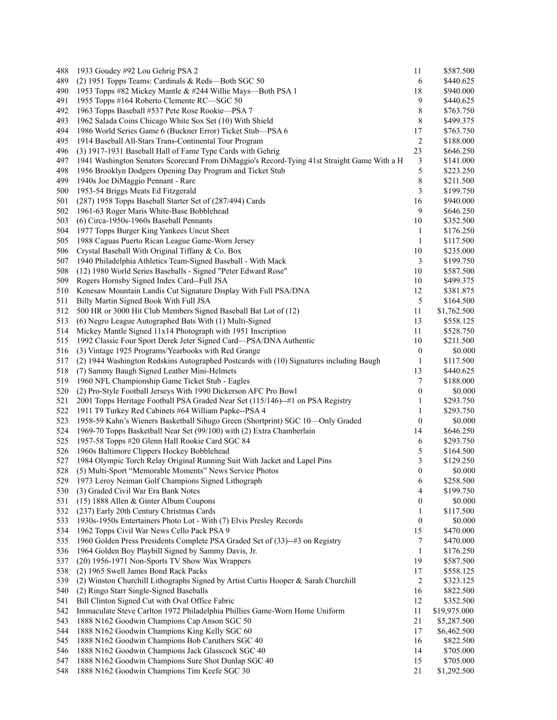| 488 | 1933 Goudey #92 Lou Gehrig PSA 2                                                            | 11               | \$587.500    |
|-----|---------------------------------------------------------------------------------------------|------------------|--------------|
| 489 | (2) 1951 Topps Teams: Cardinals & Reds—Both SGC 50                                          | 6                | \$440.625    |
| 490 | 1953 Topps #82 Mickey Mantle & #244 Willie Mays—Both PSA 1                                  | 18               | \$940.000    |
| 491 | 1955 Topps #164 Roberto Clemente RC—SGC 50                                                  | 9                | \$440.625    |
| 492 | 1963 Topps Baseball #537 Pete Rose Rookie—PSA 7                                             | 8                | \$763.750    |
| 493 | 1962 Salada Coins Chicago White Sox Set (10) With Shield                                    | 8                | \$499.375    |
| 494 | 1986 World Series Game 6 (Buckner Error) Ticket Stub—PSA 6                                  | 17               | \$763.750    |
| 495 | 1914 Baseball All-Stars Trans-Continental Tour Program                                      | 2                | \$188.000    |
| 496 | (3) 1917-1931 Baseball Hall of Fame Type Cards with Gehrig                                  | 23               | \$646.250    |
| 497 | 1941 Washington Senators Scorecard From DiMaggio's Record-Tying 41st Straight Game With a H | 3                | \$141.000    |
| 498 | 1956 Brooklyn Dodgers Opening Day Program and Ticket Stub                                   | 5                | \$223.250    |
| 499 | 1940s Joe DiMaggio Pennant - Rare                                                           | 8                | \$211.500    |
| 500 | 1953-54 Briggs Meats Ed Fitzgerald                                                          | 3                | \$199.750    |
| 501 | (287) 1958 Topps Baseball Starter Set of (287/494) Cards                                    | 16               | \$940.000    |
| 502 | 1961-63 Roger Maris White-Base Bobblehead                                                   | 9                | \$646.250    |
| 503 | (6) Circa-1950s-1960s Baseball Pennants                                                     | 10               | \$352.500    |
| 504 | 1977 Topps Burger King Yankees Uncut Sheet                                                  | 1                | \$176.250    |
| 505 | 1988 Caguas Puerto Rican League Game-Worn Jersey                                            | 1                | \$117.500    |
| 506 | Crystal Baseball With Original Tiffany & Co. Box                                            | 10               | \$235.000    |
| 507 | 1940 Philadelphia Athletics Team-Signed Baseball - With Mack                                | 3                | \$199.750    |
| 508 | (12) 1980 World Series Baseballs - Signed "Peter Edward Rose"                               | 10               | \$587.500    |
| 509 | Rogers Hornsby Signed Index Card--Full JSA                                                  | 10               | \$499.375    |
| 510 | Kenesaw Mountain Landis Cut Signature Display With Full PSA/DNA                             | 12               | \$381.875    |
| 511 | Billy Martin Signed Book With Full JSA                                                      | 5                | \$164.500    |
| 512 | 500 HR or 3000 Hit Club Members Signed Baseball Bat Lot of (12)                             | 11               | \$1,762.500  |
| 513 | (6) Negro League Autographed Bats With (1) Multi-Signed                                     | 13               | \$558.125    |
| 514 | Mickey Mantle Signed 11x14 Photograph with 1951 Inscription                                 | 11               | \$528.750    |
| 515 | 1992 Classic Four Sport Derek Jeter Signed Card-PSA/DNA Authentic                           | 10               | \$211.500    |
| 516 | (3) Vintage 1925 Programs/Yearbooks with Red Grange                                         | $\boldsymbol{0}$ | \$0.000      |
| 517 | (2) 1944 Washington Redskins Autographed Postcards with (10) Signatures including Baugh     | 1                | \$117.500    |
| 518 | (7) Sammy Baugh Signed Leather Mini-Helmets                                                 | 13               | \$440.625    |
| 519 | 1960 NFL Championship Game Ticket Stub - Eagles                                             | 7                | \$188.000    |
| 520 | (2) Pro-Style Football Jerseys With 1990 Dickerson AFC Pro Bowl                             | 0                | \$0.000      |
| 521 | 2001 Topps Heritage Football PSA Graded Near Set (115/146)--#1 on PSA Registry              | 1                | \$293.750    |
| 522 | 1911 T9 Turkey Red Cabinets #64 William Papke--PSA 4                                        | 1                | \$293.750    |
| 523 | 1958-59 Kahn's Wieners Basketball Sihugo Green (Shortprint) SGC 10-Only Graded              | $\boldsymbol{0}$ | \$0.000      |
| 524 | 1969-70 Topps Basketball Near Set (99/100) with (2) Extra Chamberlain                       | 14               | \$646.250    |
| 525 | 1957-58 Topps #20 Glenn Hall Rookie Card SGC 84                                             | 6                | \$293.750    |
| 526 | 1960s Baltimore Clippers Hockey Bobblehead                                                  | 5                | \$164.500    |
| 527 | 1984 Olympic Torch Relay Original Running Suit With Jacket and Lapel Pins                   | 3                | \$129.250    |
| 528 | (5) Multi-Sport "Memorable Moments" News Service Photos                                     | $\boldsymbol{0}$ | \$0.000      |
| 529 | 1973 Leroy Neiman Golf Champions Signed Lithograph                                          | 6                | \$258.500    |
| 530 | (3) Graded Civil War Era Bank Notes                                                         | 4                | \$199.750    |
| 531 | (15) 1888 Allen & Ginter Album Coupons                                                      | 0                | \$0.000      |
| 532 | (237) Early 20th Century Christmas Cards                                                    | 1                | \$117.500    |
| 533 | 1930s-1950s Entertainers Photo Lot - With (7) Elvis Presley Records                         | $\boldsymbol{0}$ | \$0.000      |
| 534 | 1962 Topps Civil War News Cello Pack PSA 9                                                  | 15               | \$470.000    |
| 535 | 1960 Golden Press Presidents Complete PSA Graded Set of (33)--#3 on Registry                | 7                | \$470.000    |
| 536 | 1964 Golden Boy Playbill Signed by Sammy Davis, Jr.                                         | $\mathbf{1}$     | \$176.250    |
| 537 | (20) 1956-1971 Non-Sports TV Show Wax Wrappers                                              | 19               | \$587.500    |
| 538 | (2) 1965 Swell James Bond Rack Packs                                                        | 17               | \$558.125    |
| 539 | (2) Winston Churchill Lithographs Signed by Artist Curtis Hooper & Sarah Churchill          | 2                | \$323.125    |
| 540 | (2) Ringo Starr Single-Signed Baseballs                                                     | 16               | \$822.500    |
| 541 | Bill Clinton Signed Cut with Oval Office Fabric                                             | 12               | \$352.500    |
| 542 | Immaculate Steve Carlton 1972 Philadelphia Phillies Game-Worn Home Uniform                  | 11               | \$19,975.000 |
| 543 | 1888 N162 Goodwin Champions Cap Anson SGC 50                                                | 21               | \$5,287.500  |
| 544 | 1888 N162 Goodwin Champions King Kelly SGC 60                                               | 17               | \$6,462.500  |
| 545 | 1888 N162 Goodwin Champions Bob Caruthers SGC 40                                            | 16               | \$822.500    |
| 546 | 1888 N162 Goodwin Champions Jack Glasscock SGC 40                                           | 14               | \$705.000    |
| 547 | 1888 N162 Goodwin Champions Sure Shot Dunlap SGC 40                                         | 15               | \$705.000    |
| 548 | 1888 N162 Goodwin Champions Tim Keefe SGC 30                                                | 21               | \$1,292.500  |
|     |                                                                                             |                  |              |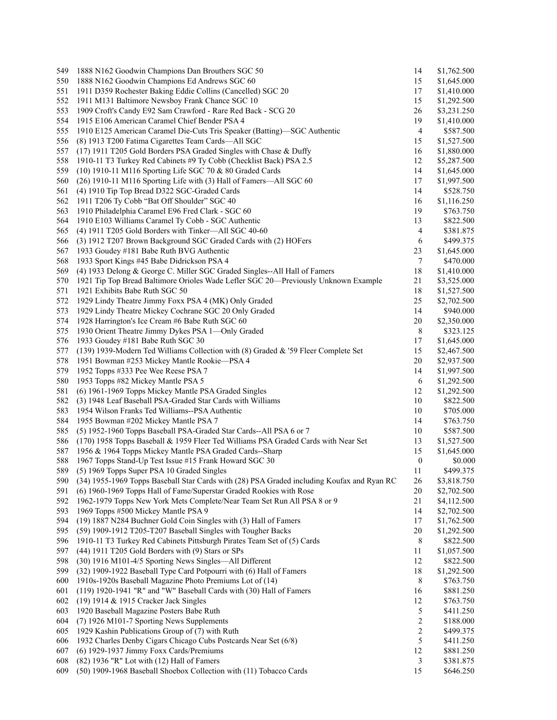| 549 | 1888 N162 Goodwin Champions Dan Brouthers SGC 50                                           | 14                      | \$1,762.500 |
|-----|--------------------------------------------------------------------------------------------|-------------------------|-------------|
| 550 | 1888 N162 Goodwin Champions Ed Andrews SGC 60                                              | 15                      | \$1,645.000 |
| 551 | 1911 D359 Rochester Baking Eddie Collins (Cancelled) SGC 20                                | 17                      | \$1,410.000 |
| 552 | 1911 M131 Baltimore Newsboy Frank Chance SGC 10                                            | 15                      | \$1,292.500 |
| 553 | 1909 Croft's Candy E92 Sam Crawford - Rare Red Back - SCG 20                               | 26                      | \$3,231.250 |
| 554 | 1915 E106 American Caramel Chief Bender PSA 4                                              | 19                      | \$1,410.000 |
| 555 | 1910 E125 American Caramel Die-Cuts Tris Speaker (Batting)—SGC Authentic                   | 4                       | \$587.500   |
| 556 | (8) 1913 T200 Fatima Cigarettes Team Cards-All SGC                                         | 15                      | \$1,527.500 |
| 557 | (17) 1911 T205 Gold Borders PSA Graded Singles with Chase & Duffy                          | 16                      | \$1,880.000 |
| 558 | 1910-11 T3 Turkey Red Cabinets #9 Ty Cobb (Checklist Back) PSA 2.5                         | 12                      | \$5,287.500 |
| 559 | (10) 1910-11 M116 Sporting Life SGC 70 & 80 Graded Cards                                   | 14                      | \$1,645.000 |
| 560 | (26) 1910-11 M116 Sporting Life with (3) Hall of Famers-All SGC 60                         | 17                      | \$1,997.500 |
| 561 |                                                                                            | 14                      | \$528.750   |
| 562 | (4) 1910 Tip Top Bread D322 SGC-Graded Cards                                               | 16                      |             |
|     | 1911 T206 Ty Cobb "Bat Off Shoulder" SGC 40                                                |                         | \$1,116.250 |
| 563 | 1910 Philadelphia Caramel E96 Fred Clark - SGC 60                                          | 19                      | \$763.750   |
| 564 | 1910 E103 Williams Caramel Ty Cobb - SGC Authentic                                         | 13                      | \$822.500   |
| 565 | (4) 1911 T205 Gold Borders with Tinker-All SGC 40-60                                       | 4                       | \$381.875   |
| 566 | (3) 1912 T207 Brown Background SGC Graded Cards with (2) HOFers                            | 6                       | \$499.375   |
| 567 | 1933 Goudey #181 Babe Ruth BVG Authentic                                                   | 23                      | \$1,645.000 |
| 568 | 1933 Sport Kings #45 Babe Didrickson PSA 4                                                 | 7                       | \$470.000   |
| 569 | (4) 1933 Delong & George C. Miller SGC Graded Singles--All Hall of Famers                  | 18                      | \$1,410.000 |
| 570 | 1921 Tip Top Bread Baltimore Orioles Wade Lefler SGC 20—Previously Unknown Example         | 21                      | \$3,525.000 |
| 571 | 1921 Exhibits Babe Ruth SGC 50                                                             | 18                      | \$1,527.500 |
| 572 | 1929 Lindy Theatre Jimmy Foxx PSA 4 (MK) Only Graded                                       | 25                      | \$2,702.500 |
| 573 | 1929 Lindy Theatre Mickey Cochrane SGC 20 Only Graded                                      | 14                      | \$940.000   |
| 574 | 1928 Harrington's Ice Cream #6 Babe Ruth SGC 60                                            | 20                      | \$2,350.000 |
| 575 | 1930 Orient Theatre Jimmy Dykes PSA 1-Only Graded                                          | 8                       | \$323.125   |
| 576 | 1933 Goudey #181 Babe Ruth SGC 30                                                          | 17                      | \$1,645.000 |
| 577 | (139) 1939-Modern Ted Williams Collection with (8) Graded & '59 Fleer Complete Set         | 15                      | \$2,467.500 |
| 578 | 1951 Bowman #253 Mickey Mantle Rookie-PSA 4                                                | 20                      | \$2,937.500 |
| 579 | 1952 Topps #333 Pee Wee Reese PSA 7                                                        | 14                      | \$1,997.500 |
| 580 | 1953 Topps #82 Mickey Mantle PSA 5                                                         | 6                       | \$1,292.500 |
| 581 | (6) 1961-1969 Topps Mickey Mantle PSA Graded Singles                                       | 12                      | \$1,292.500 |
| 582 | (3) 1948 Leaf Baseball PSA-Graded Star Cards with Williams                                 | 10                      | \$822.500   |
| 583 | 1954 Wilson Franks Ted Williams--PSA Authentic                                             | 10                      | \$705.000   |
| 584 |                                                                                            | 14                      | \$763.750   |
|     | 1955 Bowman #202 Mickey Mantle PSA 7                                                       |                         |             |
| 585 | (5) 1952-1960 Topps Baseball PSA-Graded Star Cards--All PSA 6 or 7                         | 10                      | \$587.500   |
| 586 | (170) 1958 Topps Baseball & 1959 Fleer Ted Williams PSA Graded Cards with Near Set         | 13                      | \$1,527.500 |
| 587 | 1956 & 1964 Topps Mickey Mantle PSA Graded Cards--Sharp                                    | 15                      | \$1,645.000 |
| 588 | 1967 Topps Stand-Up Test Issue #15 Frank Howard SGC 30                                     | $\boldsymbol{0}$        | \$0.000     |
| 589 | (5) 1969 Topps Super PSA 10 Graded Singles                                                 | 11                      | \$499.375   |
| 590 | (34) 1955-1969 Topps Baseball Star Cards with (28) PSA Graded including Koufax and Ryan RC | 26                      | \$3,818.750 |
| 591 | (6) 1960-1969 Topps Hall of Fame/Superstar Graded Rookies with Rose                        | 20                      | \$2,702.500 |
| 592 | 1962-1979 Topps New York Mets Complete/Near Team Set Run All PSA 8 or 9                    | 21                      | \$4,112.500 |
| 593 | 1969 Topps #500 Mickey Mantle PSA 9                                                        | 14                      | \$2,702.500 |
| 594 | (19) 1887 N284 Buchner Gold Coin Singles with (3) Hall of Famers                           | 17                      | \$1,762.500 |
| 595 | (59) 1909-1912 T205-T207 Baseball Singles with Tougher Backs                               | 20                      | \$1,292.500 |
| 596 | 1910-11 T3 Turkey Red Cabinets Pittsburgh Pirates Team Set of (5) Cards                    | 8                       | \$822.500   |
| 597 | (44) 1911 T205 Gold Borders with (9) Stars or SPs                                          | 11                      | \$1,057.500 |
| 598 | (30) 1916 M101-4/5 Sporting News Singles-All Different                                     | 12                      | \$822.500   |
| 599 | (32) 1909-1922 Baseball Type Card Potpourri with (6) Hall of Famers                        | 18                      | \$1,292.500 |
| 600 | 1910s-1920s Baseball Magazine Photo Premiums Lot of (14)                                   | 8                       | \$763.750   |
| 601 | (119) 1920-1941 "R" and "W" Baseball Cards with (30) Hall of Famers                        | 16                      | \$881.250   |
| 602 | (19) 1914 & 1915 Cracker Jack Singles                                                      | 12                      | \$763.750   |
| 603 | 1920 Baseball Magazine Posters Babe Ruth                                                   | 5                       | \$411.250   |
| 604 | (7) 1926 M101-7 Sporting News Supplements                                                  | $\overline{\mathbf{c}}$ | \$188.000   |
| 605 | 1929 Kashin Publications Group of (7) with Ruth                                            | $\overline{\mathbf{c}}$ |             |
|     |                                                                                            | 5                       | \$499.375   |
| 606 | 1932 Charles Denby Cigars Chicago Cubs Postcards Near Set (6/8)                            |                         | \$411.250   |
| 607 | (6) 1929-1937 Jimmy Foxx Cards/Premiums                                                    | 12                      | \$881.250   |
| 608 | (82) 1936 "R" Lot with (12) Hall of Famers                                                 | 3                       | \$381.875   |
| 609 | (50) 1909-1968 Baseball Shoebox Collection with (11) Tobacco Cards                         | 15                      | \$646.250   |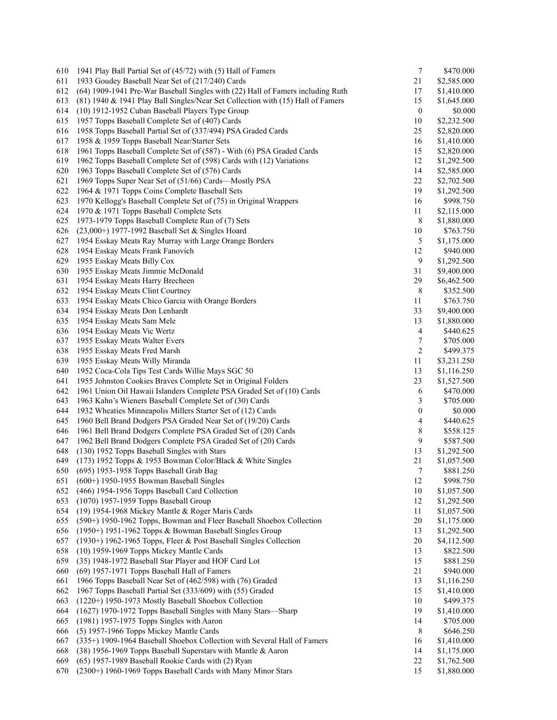| 610 | 1941 Play Ball Partial Set of (45/72) with (5) Hall of Famers                   | $\tau$           | \$470.000   |
|-----|---------------------------------------------------------------------------------|------------------|-------------|
| 611 | 1933 Goudey Baseball Near Set of (217/240) Cards                                | 21               | \$2,585.000 |
| 612 | (64) 1909-1941 Pre-War Baseball Singles with (22) Hall of Famers including Ruth | 17               | \$1,410.000 |
| 613 | (81) 1940 & 1941 Play Ball Singles/Near Set Collection with (15) Hall of Famers | 15               | \$1,645.000 |
| 614 | (10) 1912-1952 Cuban Baseball Players Type Group                                | $\boldsymbol{0}$ | \$0.000     |
| 615 | 1957 Topps Baseball Complete Set of (407) Cards                                 | 10               | \$2,232.500 |
| 616 | 1958 Topps Baseball Partial Set of (337/494) PSA Graded Cards                   | 25               | \$2,820.000 |
| 617 | 1958 & 1959 Topps Baseball Near/Starter Sets                                    | 16               | \$1,410.000 |
| 618 | 1961 Topps Baseball Complete Set of (587) - With (6) PSA Graded Cards           | 15               | \$2,820.000 |
| 619 | 1962 Topps Baseball Complete Set of (598) Cards with (12) Variations            | 12               | \$1,292.500 |
| 620 | 1963 Topps Baseball Complete Set of (576) Cards                                 | 14               | \$2,585.000 |
| 621 | 1969 Topps Super Near Set of (51/66) Cards—Mostly PSA                           | 22               | \$2,702.500 |
| 622 | 1964 & 1971 Topps Coins Complete Baseball Sets                                  | 19               | \$1,292.500 |
| 623 | 1970 Kellogg's Baseball Complete Set of (75) in Original Wrappers               | 16               | \$998.750   |
|     |                                                                                 |                  |             |
| 624 | 1970 & 1971 Topps Baseball Complete Sets                                        | 11               | \$2,115.000 |
| 625 | 1973-1979 Topps Baseball Complete Run of (7) Sets                               | 8                | \$1,880.000 |
| 626 | (23,000+) 1977-1992 Baseball Set & Singles Hoard                                | 10               | \$763.750   |
| 627 | 1954 Esskay Meats Ray Murray with Large Orange Borders                          | 5                | \$1,175.000 |
| 628 | 1954 Esskay Meats Frank Fanovich                                                | 12               | \$940.000   |
| 629 | 1955 Esskay Meats Billy Cox                                                     | 9                | \$1,292.500 |
| 630 | 1955 Esskay Meats Jimmie McDonald                                               | 31               | \$9,400.000 |
| 631 | 1954 Esskay Meats Harry Brecheen                                                | 29               | \$6,462.500 |
| 632 | 1954 Esskay Meats Clint Courtney                                                | 8                | \$352.500   |
| 633 | 1954 Esskay Meats Chico Garcia with Orange Borders                              | 11               | \$763.750   |
| 634 | 1954 Esskay Meats Don Lenhardt                                                  | 33               | \$9,400.000 |
| 635 | 1954 Esskay Meats Sam Mele                                                      | 13               | \$1,880.000 |
| 636 | 1954 Esskay Meats Vic Wertz                                                     | 4                | \$440.625   |
| 637 | 1955 Esskay Meats Walter Evers                                                  | 7                | \$705.000   |
| 638 | 1955 Esskay Meats Fred Marsh                                                    | $\sqrt{2}$       | \$499.375   |
| 639 | 1955 Esskay Meats Willy Miranda                                                 | 11               | \$3,231.250 |
| 640 | 1952 Coca-Cola Tips Test Cards Willie Mays SGC 50                               | 13               | \$1,116.250 |
| 641 | 1955 Johnston Cookies Braves Complete Set in Original Folders                   | 23               | \$1,527.500 |
|     |                                                                                 |                  |             |
| 642 | 1961 Union Oil Hawaii Islanders Complete PSA Graded Set of (10) Cards           | 6                | \$470.000   |
| 643 | 1963 Kahn's Wieners Baseball Complete Set of (30) Cards                         | 3                | \$705.000   |
| 644 | 1932 Wheaties Minneapolis Millers Starter Set of (12) Cards                     | $\boldsymbol{0}$ | \$0.000     |
| 645 | 1960 Bell Brand Dodgers PSA Graded Near Set of (19/20) Cards                    | 4                | \$440.625   |
| 646 | 1961 Bell Brand Dodgers Complete PSA Graded Set of (20) Cards                   | 8                | \$558.125   |
| 647 | 1962 Bell Brand Dodgers Complete PSA Graded Set of (20) Cards                   | 9                | \$587.500   |
| 648 | (130) 1952 Topps Baseball Singles with Stars                                    | 13               | \$1,292.500 |
| 649 | (173) 1952 Topps & 1953 Bowman Color/Black & White Singles                      | 21               | \$1,057.500 |
| 650 | (695) 1953-1958 Topps Baseball Grab Bag                                         | 7                | \$881.250   |
| 651 | $(600+)$ 1950-1955 Bowman Baseball Singles                                      | 12               | \$998.750   |
| 652 | (466) 1954-1956 Topps Baseball Card Collection                                  | 10               | \$1,057.500 |
| 653 | (1070) 1957-1959 Topps Baseball Group                                           | 12               | \$1,292.500 |
| 654 | (19) 1954-1968 Mickey Mantle & Roger Maris Cards                                | 11               | \$1,057.500 |
| 655 | (590+) 1950-1962 Topps, Bowman and Fleer Baseball Shoebox Collection            | 20               | \$1,175.000 |
| 656 | (1950+) 1951-1962 Topps & Bowman Baseball Singles Group                         | 13               | \$1,292.500 |
| 657 | (1930+) 1962-1965 Topps, Fleer & Post Baseball Singles Collection               | 20               | \$4,112.500 |
| 658 | (10) 1959-1969 Topps Mickey Mantle Cards                                        | 13               | \$822.500   |
| 659 | (35) 1948-1972 Baseball Star Player and HOF Card Lot                            | 15               | \$881.250   |
| 660 | (69) 1957-1971 Topps Baseball Hall of Famers                                    | 21               | \$940.000   |
|     | 1966 Topps Baseball Near Set of (462/598) with (76) Graded                      |                  |             |
| 661 |                                                                                 | 13               | \$1,116.250 |
| 662 | 1967 Topps Baseball Partial Set (333/609) with (55) Graded                      | 15               | \$1,410.000 |
| 663 | (1220+) 1950-1973 Mostly Baseball Shoebox Collection                            | 10               | \$499.375   |
| 664 | (1627) 1970-1972 Topps Baseball Singles with Many Stars-Sharp                   | 19               | \$1,410.000 |
| 665 | (1981) 1957-1975 Topps Singles with Aaron                                       | 14               | \$705.000   |
| 666 | (5) 1957-1966 Topps Mickey Mantle Cards                                         | 8                | \$646.250   |
| 667 | (335+) 1909-1964 Baseball Shoebox Collection with Several Hall of Famers        | 16               | \$1,410.000 |
| 668 | (38) 1956-1969 Topps Baseball Superstars with Mantle & Aaron                    | 14               | \$1,175.000 |
| 669 | (65) 1957-1989 Baseball Rookie Cards with (2) Ryan                              | $22\,$           | \$1,762.500 |
| 670 | (2300+) 1960-1969 Topps Baseball Cards with Many Minor Stars                    | 15               | \$1,880.000 |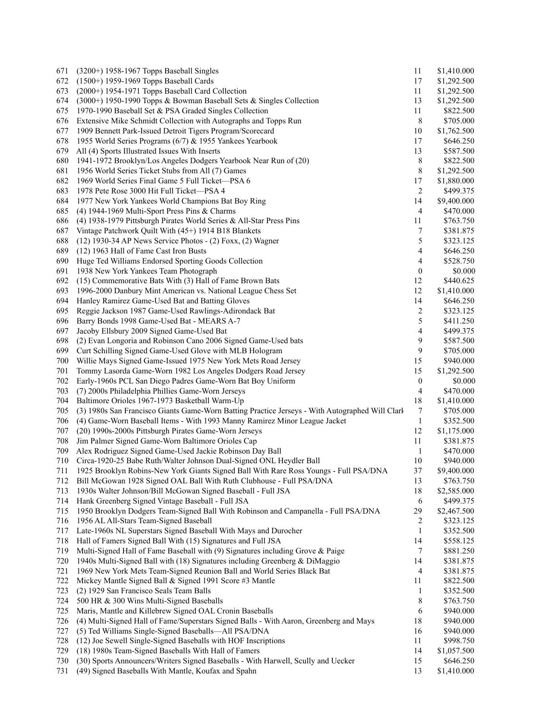| 671 | (3200+) 1958-1967 Topps Baseball Singles                                                        | 11               | \$1,410.000 |
|-----|-------------------------------------------------------------------------------------------------|------------------|-------------|
| 672 | (1500+) 1959-1969 Topps Baseball Cards                                                          | 17               | \$1,292.500 |
| 673 | $(2000+)$ 1954-1971 Topps Baseball Card Collection                                              | 11               | \$1,292.500 |
| 674 | $(3000+)$ 1950-1990 Topps & Bowman Baseball Sets & Singles Collection                           | 13               | \$1,292.500 |
| 675 | 1970-1990 Baseball Set & PSA Graded Singles Collection                                          | 11               | \$822.500   |
| 676 | Extensive Mike Schmidt Collection with Autographs and Topps Run                                 | 8                | \$705.000   |
| 677 | 1909 Bennett Park-Issued Detroit Tigers Program/Scorecard                                       | 10               | \$1,762.500 |
| 678 | 1955 World Series Programs (6/7) & 1955 Yankees Yearbook                                        | 17               | \$646.250   |
| 679 | All (4) Sports Illustrated Issues With Inserts                                                  | 13               | \$587.500   |
| 680 | 1941-1972 Brooklyn/Los Angeles Dodgers Yearbook Near Run of (20)                                | 8                | \$822.500   |
| 681 | 1956 World Series Ticket Stubs from All (7) Games                                               | 8                | \$1,292.500 |
| 682 | 1969 World Series Final Game 5 Full Ticket-PSA 6                                                | 17               | \$1,880.000 |
| 683 | 1978 Pete Rose 3000 Hit Full Ticket—PSA 4                                                       | 2                | \$499.375   |
| 684 | 1977 New York Yankees World Champions Bat Boy Ring                                              | 14               | \$9,400.000 |
| 685 | (4) 1944-1969 Multi-Sport Press Pins $&$ Charms                                                 | 4                | \$470.000   |
| 686 | (4) 1938-1979 Pittsburgh Pirates World Series $\&$ All-Star Press Pins                          | 11               | \$763.750   |
| 687 | Vintage Patchwork Quilt With (45+) 1914 B18 Blankets                                            | 7                | \$381.875   |
| 688 | (12) 1930-34 AP News Service Photos - (2) Foxx, (2) Wagner                                      | 5                | \$323.125   |
| 689 | (12) 1963 Hall of Fame Cast Iron Busts                                                          | 4                | \$646.250   |
|     |                                                                                                 | 4                | \$528.750   |
| 690 | Huge Ted Williams Endorsed Sporting Goods Collection                                            |                  |             |
| 691 | 1938 New York Yankees Team Photograph                                                           | 0                | \$0.000     |
| 692 | (15) Commemorative Bats With (3) Hall of Fame Brown Bats                                        | 12               | \$440.625   |
| 693 | 1996-2000 Danbury Mint American vs. National League Chess Set                                   | 12               | \$1,410.000 |
| 694 | Hanley Ramirez Game-Used Bat and Batting Gloves                                                 | 14               | \$646.250   |
| 695 | Reggie Jackson 1987 Game-Used Rawlings-Adirondack Bat                                           | 2                | \$323.125   |
| 696 | Barry Bonds 1998 Game-Used Bat - MEARS A-7                                                      | 5                | \$411.250   |
| 697 | Jacoby Ellsbury 2009 Signed Game-Used Bat                                                       | 4                | \$499.375   |
| 698 | (2) Evan Longoria and Robinson Cano 2006 Signed Game-Used bats                                  | 9                | \$587.500   |
| 699 | Curt Schilling Signed Game-Used Glove with MLB Hologram                                         | 9                | \$705.000   |
| 700 | Willie Mays Signed Game-Issued 1975 New York Mets Road Jersey                                   | 15               | \$940.000   |
| 701 | Tommy Lasorda Game-Worn 1982 Los Angeles Dodgers Road Jersey                                    | 15               | \$1,292.500 |
| 702 | Early-1960s PCL San Diego Padres Game-Worn Bat Boy Uniform                                      | $\boldsymbol{0}$ | \$0.000     |
| 703 | (7) 2000s Philadelphia Phillies Game-Worn Jerseys                                               | 4                | \$470.000   |
| 704 | Baltimore Orioles 1967-1973 Basketball Warm-Up                                                  | 18               | \$1,410.000 |
| 705 | (3) 1980s San Francisco Giants Game-Worn Batting Practice Jerseys - With Autographed Will Clarl | 7                | \$705.000   |
| 706 | (4) Game-Worn Baseball Items - With 1993 Manny Ramirez Minor League Jacket                      | $\mathbf{1}$     | \$352.500   |
| 707 | (20) 1990s-2000s Pittsburgh Pirates Game-Worn Jerseys                                           | 12               | \$1,175.000 |
| 708 | Jim Palmer Signed Game-Worn Baltimore Orioles Cap                                               | 11               | \$381.875   |
| 709 | Alex Rodriguez Signed Game-Used Jackie Robinson Day Ball                                        | 1                | \$470.000   |
| 710 | Circa-1920-25 Babe Ruth/Walter Johnson Dual-Signed ONL Heydler Ball                             | 10               | \$940.000   |
| 711 | 1925 Brooklyn Robins-New York Giants Signed Ball With Rare Ross Youngs - Full PSA/DNA           | 37               | \$9,400.000 |
| 712 | Bill McGowan 1928 Signed OAL Ball With Ruth Clubhouse - Full PSA/DNA                            | 13               | \$763.750   |
| 713 | 1930s Walter Johnson/Bill McGowan Signed Baseball - Full JSA                                    | 18               | \$2,585.000 |
| 714 | Hank Greenberg Signed Vintage Baseball - Full JSA                                               | 6                | \$499.375   |
| 715 | 1950 Brooklyn Dodgers Team-Signed Ball With Robinson and Campanella - Full PSA/DNA              | 29               | \$2,467.500 |
| 716 | 1956 AL All-Stars Team-Signed Baseball                                                          | 2                | \$323.125   |
| 717 | Late-1960s NL Superstars Signed Baseball With Mays and Durocher                                 | $\mathbf{1}$     | \$352.500   |
| 718 | Hall of Famers Signed Ball With (15) Signatures and Full JSA                                    | 14               | \$558.125   |
| 719 | Multi-Signed Hall of Fame Baseball with (9) Signatures including Grove & Paige                  | 7                | \$881.250   |
| 720 | 1940s Multi-Signed Ball with (18) Signatures including Greenberg & DiMaggio                     | 14               | \$381.875   |
| 721 | 1969 New York Mets Team-Signed Reunion Ball and World Series Black Bat                          | 4                | \$381.875   |
| 722 | Mickey Mantle Signed Ball & Signed 1991 Score #3 Mantle                                         | 11               | \$822.500   |
| 723 | (2) 1929 San Francisco Seals Team Balls                                                         | $\mathbf{1}$     | \$352.500   |
| 724 | 500 HR & 300 Wins Multi-Signed Baseballs                                                        | 8                | \$763.750   |
| 725 | Maris, Mantle and Killebrew Signed OAL Cronin Baseballs                                         | 6                | \$940.000   |
| 726 | (4) Multi-Signed Hall of Fame/Superstars Signed Balls - With Aaron, Greenberg and Mays          | 18               | \$940.000   |
| 727 | (5) Ted Williams Single-Signed Baseballs-All PSA/DNA                                            | 16               | \$940.000   |
| 728 | (12) Joe Sewell Single-Signed Baseballs with HOF Inscriptions                                   | 11               | \$998.750   |
| 729 | (18) 1980s Team-Signed Baseballs With Hall of Famers                                            | 14               | \$1,057.500 |
| 730 | (30) Sports Announcers/Writers Signed Baseballs - With Harwell, Scully and Uecker               | 15               | \$646.250   |
| 731 | (49) Signed Baseballs With Mantle, Koufax and Spahn                                             | 13               | \$1,410.000 |
|     |                                                                                                 |                  |             |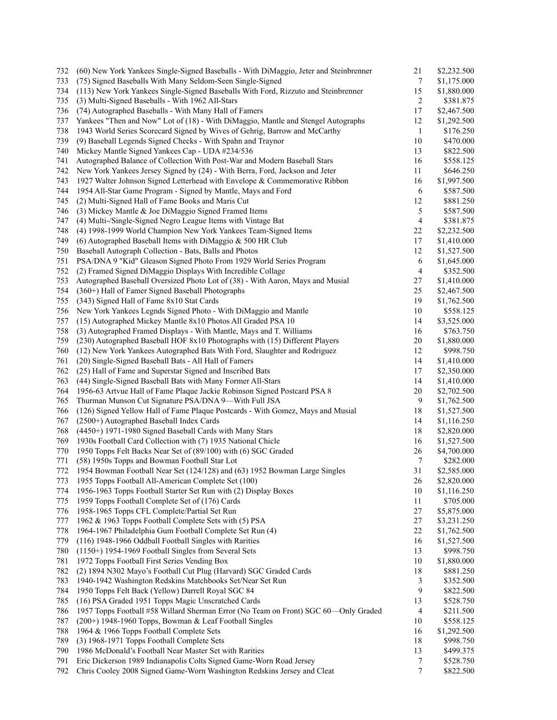| 732 | (60) New York Yankees Single-Signed Baseballs - With DiMaggio, Jeter and Steinbrenner | 21               | \$2,232.500 |
|-----|---------------------------------------------------------------------------------------|------------------|-------------|
| 733 | (75) Signed Baseballs With Many Seldom-Seen Single-Signed                             | 7                | \$1,175.000 |
| 734 | (113) New York Yankees Single-Signed Baseballs With Ford, Rizzuto and Steinbrenner    | 15               | \$1,880.000 |
| 735 | (3) Multi-Signed Baseballs - With 1962 All-Stars                                      | $\overline{c}$   | \$381.875   |
| 736 | (74) Autographed Baseballs - With Many Hall of Famers                                 | 17               | \$2,467.500 |
| 737 | Yankees "Then and Now" Lot of (18) - With DiMaggio, Mantle and Stengel Autographs     | 12               | \$1,292.500 |
| 738 | 1943 World Series Scorecard Signed by Wives of Gehrig, Barrow and McCarthy            | $\mathbf{1}$     | \$176.250   |
| 739 | (9) Baseball Legends Signed Checks - With Spahn and Traynor                           | 10               | \$470.000   |
| 740 | Mickey Mantle Signed Yankees Cap - UDA #234/536                                       | 13               | \$822.500   |
| 741 | Autographed Balance of Collection With Post-War and Modern Baseball Stars             | 16               | \$558.125   |
| 742 | New York Yankees Jersey Signed by (24) - With Berra, Ford, Jackson and Jeter          | 11               | \$646.250   |
| 743 | 1927 Walter Johnson Signed Letterhead with Envelope & Commemorative Ribbon            | 16               | \$1,997.500 |
| 744 | 1954 All-Star Game Program - Signed by Mantle, Mays and Ford                          | 6                | \$587.500   |
| 745 | (2) Multi-Signed Hall of Fame Books and Maris Cut                                     | 12               | \$881.250   |
| 746 | (3) Mickey Mantle & Joe DiMaggio Signed Framed Items                                  | 5                | \$587.500   |
| 747 | (4) Multi-/Single-Signed Negro League Items with Vintage Bat                          | $\overline{4}$   | \$381.875   |
| 748 | (4) 1998-1999 World Champion New York Yankees Team-Signed Items                       | 22               | \$2,232.500 |
| 749 | (6) Autographed Baseball Items with DiMaggio $&$ 500 HR Club                          | 17               | \$1,410.000 |
| 750 | Baseball Autograph Collection - Bats, Balls and Photos                                | 12               | \$1,527.500 |
| 751 | PSA/DNA 9 "Kid" Gleason Signed Photo From 1929 World Series Program                   | 6                | \$1,645.000 |
| 752 | (2) Framed Signed DiMaggio Displays With Incredible Collage                           | $\overline{4}$   | \$352.500   |
| 753 | Autographed Baseball Oversized Photo Lot of (38) - With Aaron, Mays and Musial        | 27               | \$1,410.000 |
| 754 | (360+) Hall of Famer Signed Baseball Photographs                                      | 25               | \$2,467.500 |
| 755 | (343) Signed Hall of Fame 8x10 Stat Cards                                             | 19               | \$1,762.500 |
| 756 | New York Yankees Legnds Signed Photo - With DiMaggio and Mantle                       | 10               | \$558.125   |
| 757 | (15) Autographed Mickey Mantle 8x10 Photos All Graded PSA 10                          | 14               | \$3,525.000 |
|     |                                                                                       |                  |             |
| 758 | (3) Autographed Framed Displays - With Mantle, Mays and T. Williams                   | 16               | \$763.750   |
| 759 | (230) Autographed Baseball HOF 8x10 Photographs with (15) Different Players           | 20               | \$1,880.000 |
| 760 | (12) New York Yankees Autographed Bats With Ford, Slaughter and Rodriguez             | 12               | \$998.750   |
| 761 | (20) Single-Signed Baseball Bats - All Hall of Famers                                 | 14               | \$1,410.000 |
| 762 | (25) Hall of Fame and Superstar Signed and Inscribed Bats                             | 17               | \$2,350.000 |
| 763 | (44) Single-Signed Baseball Bats with Many Former All-Stars                           | 14               | \$1,410.000 |
| 764 | 1956-63 Artvue Hall of Fame Plaque Jackie Robinson Signed Postcard PSA 8              | 20               | \$2,702.500 |
| 765 | Thurman Munson Cut Signature PSA/DNA 9-With Full JSA                                  | $\boldsymbol{9}$ | \$1,762.500 |
| 766 | (126) Signed Yellow Hall of Fame Plaque Postcards - With Gomez, Mays and Musial       | 18               | \$1,527.500 |
| 767 | (2500+) Autographed Baseball Index Cards                                              | 14               | \$1,116.250 |
| 768 | (4450+) 1971-1980 Signed Baseball Cards with Many Stars                               | 18               | \$2,820.000 |
| 769 | 1930s Football Card Collection with (7) 1935 National Chicle                          | 16               | \$1,527.500 |
| 770 | 1950 Topps Felt Backs Near Set of (89/100) with (6) SGC Graded                        | 26               | \$4,700.000 |
| 771 | (58) 1950s Topps and Bowman Football Star Lot                                         | $\overline{7}$   | \$282.000   |
| 772 | 1954 Bowman Football Near Set (124/128) and (63) 1952 Bowman Large Singles            | 31               | \$2,585.000 |
| 773 | 1955 Topps Football All-American Complete Set (100)                                   | 26               | \$2,820.000 |
| 774 | 1956-1963 Topps Football Starter Set Run with (2) Display Boxes                       | 10               | \$1,116.250 |
| 775 | 1959 Topps Football Complete Set of (176) Cards                                       | 11               | \$705.000   |
| 776 | 1958-1965 Topps CFL Complete/Partial Set Run                                          | 27               | \$5,875.000 |
| 777 | 1962 & 1963 Topps Football Complete Sets with (5) PSA                                 | 27               | \$3,231.250 |
| 778 | 1964-1967 Philadelphia Gum Football Complete Set Run (4)                              | $22\,$           | \$1,762.500 |
| 779 | (116) 1948-1966 Oddball Football Singles with Rarities                                | 16               | \$1,527.500 |
| 780 | (1150+) 1954-1969 Football Singles from Several Sets                                  | 13               | \$998.750   |
| 781 | 1972 Topps Football First Series Vending Box                                          | 10               | \$1,880.000 |
| 782 | (2) 1894 N302 Mayo's Football Cut Plug (Harvard) SGC Graded Cards                     | 18               | \$881.250   |
| 783 | 1940-1942 Washington Redskins Matchbooks Set/Near Set Run                             | 3                | \$352.500   |
| 784 | 1950 Topps Felt Back (Yellow) Darrell Royal SGC 84                                    | 9                | \$822.500   |
| 785 | (16) PSA Graded 1951 Topps Magic Unscratched Cards                                    | 13               | \$528.750   |
| 786 | 1957 Topps Football #58 Willard Sherman Error (No Team on Front) SGC 60-Only Graded   | 4                | \$211.500   |
| 787 | (200+) 1948-1960 Topps, Bowman & Leaf Football Singles                                | 10               | \$558.125   |
| 788 | 1964 & 1966 Topps Football Complete Sets                                              | 16               | \$1,292.500 |
| 789 | (3) 1968-1971 Topps Football Complete Sets                                            | 18               | \$998.750   |
| 790 | 1986 McDonald's Football Near Master Set with Rarities                                | 13               | \$499.375   |
| 791 | Eric Dickerson 1989 Indianapolis Colts Signed Game-Worn Road Jersey                   | 7                | \$528.750   |
| 792 | Chris Cooley 2008 Signed Game-Worn Washington Redskins Jersey and Cleat               | 7                | \$822.500   |
|     |                                                                                       |                  |             |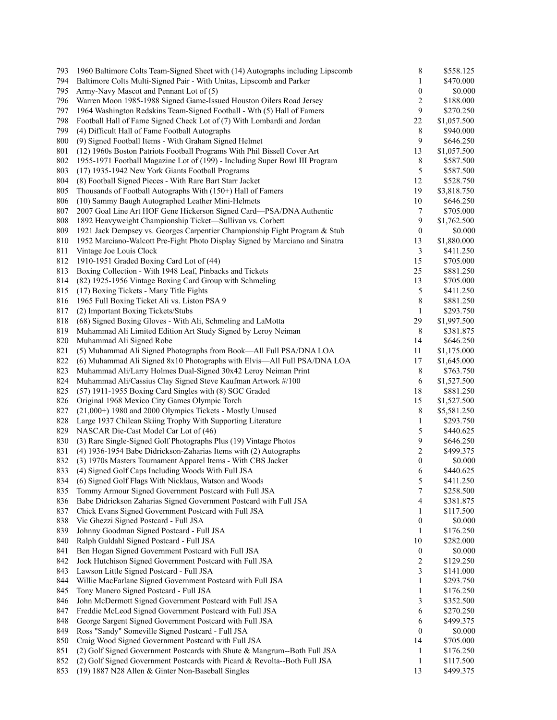| 793 | 1960 Baltimore Colts Team-Signed Sheet with (14) Autographs including Lipscomb | 8                | \$558.125   |
|-----|--------------------------------------------------------------------------------|------------------|-------------|
| 794 | Baltimore Colts Multi-Signed Pair - With Unitas, Lipscomb and Parker           | 1                | \$470.000   |
| 795 | Army-Navy Mascot and Pennant Lot of (5)                                        | $\boldsymbol{0}$ | \$0.000     |
| 796 | Warren Moon 1985-1988 Signed Game-Issued Houston Oilers Road Jersey            | $\overline{c}$   | \$188.000   |
| 797 | 1964 Washington Redskins Team-Signed Football - Wth (5) Hall of Famers         | 9                | \$270.250   |
| 798 | Football Hall of Fame Signed Check Lot of (7) With Lombardi and Jordan         | 22               | \$1,057.500 |
| 799 | (4) Difficult Hall of Fame Football Autographs                                 | 8                | \$940.000   |
| 800 | (9) Signed Football Items - With Graham Signed Helmet                          | 9                | \$646.250   |
| 801 | (12) 1960s Boston Patriots Football Programs With Phil Bissell Cover Art       | 13               | \$1,057.500 |
| 802 | 1955-1971 Football Magazine Lot of (199) - Including Super Bowl III Program    | 8                | \$587.500   |
| 803 | (17) 1935-1942 New York Giants Football Programs                               | 5                | \$587.500   |
| 804 | (8) Football Signed Pieces - With Rare Bart Starr Jacket                       | 12               | \$528.750   |
| 805 | Thousands of Football Autographs With (150+) Hall of Famers                    | 19               | \$3,818.750 |
|     |                                                                                |                  |             |
| 806 | (10) Sammy Baugh Autographed Leather Mini-Helmets                              | 10               | \$646.250   |
| 807 | 2007 Goal Line Art HOF Gene Hickerson Signed Card-PSA/DNA Authentic            | 7                | \$705.000   |
| 808 | 1892 Heavyweight Championship Ticket-Sullivan vs. Corbett                      | $\boldsymbol{9}$ | \$1,762.500 |
| 809 | 1921 Jack Dempsey vs. Georges Carpentier Championship Fight Program & Stub     | $\boldsymbol{0}$ | \$0.000     |
| 810 | 1952 Marciano-Walcott Pre-Fight Photo Display Signed by Marciano and Sinatra   | 13               | \$1,880.000 |
| 811 | Vintage Joe Louis Clock                                                        | 3                | \$411.250   |
| 812 | 1910-1951 Graded Boxing Card Lot of (44)                                       | 15               | \$705.000   |
| 813 | Boxing Collection - With 1948 Leaf, Pinbacks and Tickets                       | 25               | \$881.250   |
| 814 | (82) 1925-1956 Vintage Boxing Card Group with Schmeling                        | 13               | \$705.000   |
| 815 | (17) Boxing Tickets - Many Title Fights                                        | 5                | \$411.250   |
| 816 | 1965 Full Boxing Ticket Ali vs. Liston PSA 9                                   | 8                | \$881.250   |
| 817 | (2) Important Boxing Tickets/Stubs                                             | 1                | \$293.750   |
| 818 | (68) Signed Boxing Gloves - With Ali, Schmeling and LaMotta                    | 29               | \$1,997.500 |
| 819 | Muhammad Ali Limited Edition Art Study Signed by Leroy Neiman                  | 8                | \$381.875   |
| 820 | Muhammad Ali Signed Robe                                                       | 14               | \$646.250   |
| 821 | (5) Muhammad Ali Signed Photographs from Book-All Full PSA/DNA LOA             | 11               | \$1,175.000 |
| 822 | (6) Muhammad Ali Signed 8x10 Photographs with Elvis-All Full PSA/DNA LOA       | 17               | \$1,645.000 |
| 823 | Muhammad Ali/Larry Holmes Dual-Signed 30x42 Leroy Neiman Print                 | 8                | \$763.750   |
| 824 | Muhammad Ali/Cassius Clay Signed Steve Kaufman Artwork #/100                   | 6                | \$1,527.500 |
|     |                                                                                |                  |             |
| 825 | (57) 1911-1955 Boxing Card Singles with (8) SGC Graded                         | 18<br>15         | \$881.250   |
| 826 | Original 1968 Mexico City Games Olympic Torch                                  |                  | \$1,527.500 |
| 827 | (21,000+) 1980 and 2000 Olympics Tickets - Mostly Unused                       | $\,8\,$          | \$5,581.250 |
| 828 | Large 1937 Chilean Skiing Trophy With Supporting Literature                    | 1                | \$293.750   |
| 829 | NASCAR Die-Cast Model Car Lot of (46)                                          | 5                | \$440.625   |
| 830 | (3) Rare Single-Signed Golf Photographs Plus (19) Vintage Photos               | 9                | \$646.250   |
| 831 | (4) 1936-1954 Babe Didrickson-Zaharias Items with (2) Autographs               | 2                | \$499.375   |
| 832 | (3) 1970s Masters Tournament Apparel Items - With CBS Jacket                   | $\boldsymbol{0}$ | \$0.000     |
| 833 | (4) Signed Golf Caps Including Woods With Full JSA                             | 6                | \$440.625   |
| 834 | (6) Signed Golf Flags With Nicklaus, Watson and Woods                          | 5                | \$411.250   |
| 835 | Tommy Armour Signed Government Postcard with Full JSA                          | 7                | \$258.500   |
| 836 | Babe Didrickson Zaharias Signed Government Postcard with Full JSA              | 4                | \$381.875   |
| 837 | Chick Evans Signed Government Postcard with Full JSA                           | 1                | \$117.500   |
| 838 | Vic Ghezzi Signed Postcard - Full JSA                                          | $\boldsymbol{0}$ | \$0.000     |
| 839 | Johnny Goodman Signed Postcard - Full JSA                                      | 1                | \$176.250   |
| 840 | Ralph Guldahl Signed Postcard - Full JSA                                       | 10               | \$282.000   |
| 841 | Ben Hogan Signed Government Postcard with Full JSA                             | $\boldsymbol{0}$ | \$0.000     |
| 842 | Jock Hutchison Signed Government Postcard with Full JSA                        | $\overline{c}$   | \$129.250   |
| 843 | Lawson Little Signed Postcard - Full JSA                                       | 3                | \$141.000   |
| 844 | Willie MacFarlane Signed Government Postcard with Full JSA                     | 1                | \$293.750   |
|     |                                                                                |                  |             |
| 845 | Tony Manero Signed Postcard - Full JSA                                         | $\mathbf{1}$     | \$176.250   |
| 846 | John McDermott Signed Government Postcard with Full JSA                        | 3                | \$352.500   |
| 847 | Freddie McLeod Signed Government Postcard with Full JSA                        | 6                | \$270.250   |
| 848 | George Sargent Signed Government Postcard with Full JSA                        | 6                | \$499.375   |
| 849 | Ross "Sandy" Someville Signed Postcard - Full JSA                              | $\mathbf{0}$     | \$0.000     |
| 850 | Craig Wood Signed Government Postcard with Full JSA                            | 14               | \$705.000   |
| 851 | (2) Golf Signed Government Postcards with Shute & Mangrum--Both Full JSA       | $\mathbf{1}$     | \$176.250   |
| 852 | (2) Golf Signed Government Postcards with Picard & Revolta--Both Full JSA      | $\mathbf{1}$     | \$117.500   |
| 853 | (19) 1887 N28 Allen & Ginter Non-Baseball Singles                              | 13               | \$499.375   |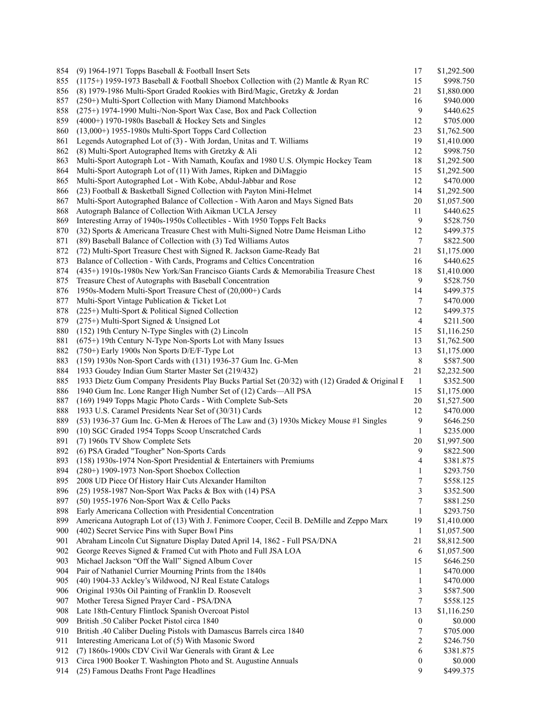| 854 | (9) 1964-1971 Topps Baseball & Football Insert Sets                                                        | 17             | \$1,292.500 |
|-----|------------------------------------------------------------------------------------------------------------|----------------|-------------|
| 855 | (1175+) 1959-1973 Baseball & Football Shoebox Collection with (2) Mantle & Ryan RC                         | 15             | \$998.750   |
| 856 | (8) 1979-1986 Multi-Sport Graded Rookies with Bird/Magic, Gretzky & Jordan                                 | 21             | \$1,880.000 |
| 857 | (250+) Multi-Sport Collection with Many Diamond Matchbooks                                                 | 16             | \$940.000   |
| 858 | (275+) 1974-1990 Multi-/Non-Sport Wax Case, Box and Pack Collection                                        | 9              | \$440.625   |
| 859 | $(4000+)$ 1970-1980s Baseball & Hockey Sets and Singles                                                    | 12             | \$705.000   |
| 860 | $(13,000+)$ 1955-1980s Multi-Sport Topps Card Collection                                                   | 23             | \$1,762.500 |
| 861 | Legends Autographed Lot of (3) - With Jordan, Unitas and T. Williams                                       | 19             | \$1,410.000 |
| 862 | (8) Multi-Sport Autographed Items with Gretzky & Ali                                                       | 12             | \$998.750   |
| 863 | Multi-Sport Autograph Lot - With Namath, Koufax and 1980 U.S. Olympic Hockey Team                          | 18             | \$1,292.500 |
| 864 | Multi-Sport Autograph Lot of (11) With James, Ripken and DiMaggio                                          | 15             | \$1,292.500 |
| 865 | Multi-Sport Autographed Lot - With Kobe, Abdul-Jabbar and Rose                                             | 12             | \$470.000   |
| 866 | (23) Football & Basketball Signed Collection with Payton Mini-Helmet                                       | 14             | \$1,292.500 |
| 867 | Multi-Sport Autographed Balance of Collection - With Aaron and Mays Signed Bats                            | 20             | \$1,057.500 |
| 868 | Autograph Balance of Collection With Aikman UCLA Jersey                                                    | 11             | \$440.625   |
| 869 | Interesting Array of 1940s-1950s Collectibles - With 1950 Topps Felt Backs                                 | 9              | \$528.750   |
| 870 | (32) Sports & Americana Treasure Chest with Multi-Signed Notre Dame Heisman Litho                          | 12             | \$499.375   |
| 871 | (89) Baseball Balance of Collection with (3) Ted Williams Autos                                            | 7              | \$822.500   |
| 872 | (72) Multi-Sport Treasure Chest with Signed R. Jackson Game-Ready Bat                                      | 21             | \$1,175.000 |
| 873 | Balance of Collection - With Cards, Programs and Celtics Concentration                                     | 16             | \$440.625   |
| 874 | (435+) 1910s-1980s New York/San Francisco Giants Cards & Memorabilia Treasure Chest                        | 18             | \$1,410.000 |
| 875 |                                                                                                            | 9              | \$528.750   |
| 876 | Treasure Chest of Autographs with Baseball Concentration                                                   | 14             | \$499.375   |
|     | 1950s-Modern Multi-Sport Treasure Chest of (20,000+) Cards<br>Multi-Sport Vintage Publication & Ticket Lot |                |             |
| 877 |                                                                                                            | 7<br>12        | \$470.000   |
| 878 | (225+) Multi-Sport & Political Signed Collection                                                           |                | \$499.375   |
| 879 | (275+) Multi-Sport Signed & Unsigned Lot                                                                   | $\overline{4}$ | \$211.500   |
| 880 | (152) 19th Century N-Type Singles with (2) Lincoln                                                         | 15             | \$1,116.250 |
| 881 | $(675+)$ 19th Century N-Type Non-Sports Lot with Many Issues                                               | 13             | \$1,762.500 |
| 882 | (750+) Early 1900s Non Sports D/E/F-Type Lot                                                               | 13             | \$1,175.000 |
| 883 | (159) 1930s Non-Sport Cards with (131) 1936-37 Gum Inc. G-Men                                              | $\,$ 8 $\,$    | \$587.500   |
| 884 | 1933 Goudey Indian Gum Starter Master Set (219/432)                                                        | 21             | \$2,232.500 |
| 885 | 1933 Dietz Gum Company Presidents Play Bucks Partial Set (20/32) with (12) Graded & Original F             | $\mathbf{1}$   | \$352.500   |
| 886 | 1940 Gum Inc. Lone Ranger High Number Set of (12) Cards—All PSA                                            | 15             | \$1,175.000 |
| 887 | (169) 1949 Topps Magic Photo Cards - With Complete Sub-Sets                                                | 20             | \$1,527.500 |
| 888 | 1933 U.S. Caramel Presidents Near Set of (30/31) Cards                                                     | 12             | \$470.000   |
| 889 | (53) 1936-37 Gum Inc. G-Men & Heroes of The Law and (3) 1930s Mickey Mouse #1 Singles                      | 9              | \$646.250   |
| 890 | (10) SGC Graded 1954 Topps Scoop Unscratched Cards                                                         | 1              | \$235.000   |
| 891 | (7) 1960s TV Show Complete Sets                                                                            | 20             | \$1,997.500 |
| 892 | (6) PSA Graded "Tougher" Non-Sports Cards                                                                  | 9              | \$822.500   |
| 893 | $(158)$ 1930s-1974 Non-Sport Presidential & Entertainers with Premiums                                     | 4              | \$381.875   |
| 894 | (280+) 1909-1973 Non-Sport Shoebox Collection                                                              | 1              | \$293.750   |
| 895 | 2008 UD Piece Of History Hair Cuts Alexander Hamilton                                                      | 7              | \$558.125   |
| 896 | (25) 1958-1987 Non-Sport Wax Packs & Box with (14) PSA                                                     | 3              | \$352.500   |
| 897 | (50) 1955-1976 Non-Sport Wax & Cello Packs                                                                 | 7              | \$881.250   |
| 898 | Early Americana Collection with Presidential Concentration                                                 | 1              | \$293.750   |
| 899 | Americana Autograph Lot of (13) With J. Fenimore Cooper, Cecil B. DeMille and Zeppo Marx                   | 19             | \$1,410.000 |
| 900 | (402) Secret Service Pins with Super Bowl Pins                                                             | 1              | \$1,057.500 |
| 901 | Abraham Lincoln Cut Signature Display Dated April 14, 1862 - Full PSA/DNA                                  | 21             | \$8,812.500 |
| 902 | George Reeves Signed & Framed Cut with Photo and Full JSA LOA                                              | 6              | \$1,057.500 |
| 903 | Michael Jackson "Off the Wall" Signed Album Cover                                                          | 15             | \$646.250   |
| 904 | Pair of Nathaniel Currier Mourning Prints from the 1840s                                                   | 1              | \$470.000   |
| 905 | (40) 1904-33 Ackley's Wildwood, NJ Real Estate Catalogs                                                    | 1              | \$470.000   |
| 906 | Original 1930s Oil Painting of Franklin D. Roosevelt                                                       | 3              | \$587.500   |
| 907 | Mother Teresa Signed Prayer Card - PSA/DNA                                                                 | 7              | \$558.125   |
| 908 | Late 18th-Century Flintlock Spanish Overcoat Pistol                                                        | 13             | \$1,116.250 |
| 909 | British .50 Caliber Pocket Pistol circa 1840                                                               | 0              | \$0.000     |
| 910 | British .40 Caliber Dueling Pistols with Damascus Barrels circa 1840                                       | 7              | \$705.000   |
| 911 | Interesting Americana Lot of (5) With Masonic Sword                                                        | 2              | \$246.750   |
| 912 | (7) 1860s-1900s CDV Civil War Generals with Grant & Lee                                                    | 6              | \$381.875   |
| 913 | Circa 1900 Booker T. Washington Photo and St. Augustine Annuals                                            | 0              | \$0.000     |
| 914 | (25) Famous Deaths Front Page Headlines                                                                    | 9              | \$499.375   |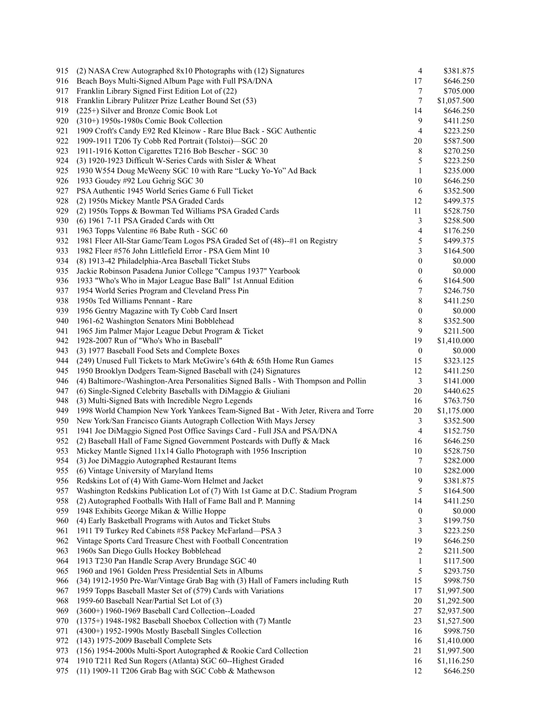| 915 | (2) NASA Crew Autographed 8x10 Photographs with (12) Signatures                      | 4                | \$381.875              |
|-----|--------------------------------------------------------------------------------------|------------------|------------------------|
| 916 | Beach Boys Multi-Signed Album Page with Full PSA/DNA                                 | 17               | \$646.250              |
| 917 | Franklin Library Signed First Edition Lot of (22)                                    | 7                | \$705.000              |
| 918 | Franklin Library Pulitzer Prize Leather Bound Set (53)                               | 7                | \$1,057.500            |
| 919 | (225+) Silver and Bronze Comic Book Lot                                              | 14               | \$646.250              |
| 920 | $(310+)$ 1950s-1980s Comic Book Collection                                           | 9                | \$411.250              |
| 921 | 1909 Croft's Candy E92 Red Kleinow - Rare Blue Back - SGC Authentic                  | 4                | \$223.250              |
| 922 | 1909-1911 T206 Ty Cobb Red Portrait (Tolstoi)—SGC 20                                 | 20               | \$587.500              |
| 923 | 1911-1916 Kotton Cigarettes T216 Bob Bescher - SGC 30                                | 8                | \$270.250              |
| 924 | (3) 1920-1923 Difficult W-Series Cards with Sisler & Wheat                           | 5                | \$223.250              |
| 925 | 1930 W554 Doug McWeeny SGC 10 with Rare "Lucky Yo-Yo" Ad Back                        | $\mathbf{1}$     | \$235.000              |
| 926 | 1933 Goudey #92 Lou Gehrig SGC 30                                                    | 10               | \$646.250              |
| 927 | PSA Authentic 1945 World Series Game 6 Full Ticket                                   | 6                | \$352.500              |
| 928 | (2) 1950s Mickey Mantle PSA Graded Cards                                             | 12               | \$499.375              |
| 929 | (2) 1950s Topps & Bowman Ted Williams PSA Graded Cards                               | 11               | \$528.750              |
| 930 | (6) 1961 7-11 PSA Graded Cards with Ott                                              | 3                | \$258.500              |
| 931 | 1963 Topps Valentine #6 Babe Ruth - SGC 60                                           | 4                | \$176.250              |
| 932 | 1981 Fleer All-Star Game/Team Logos PSA Graded Set of (48)--#1 on Registry           | 5                | \$499.375              |
| 933 | 1982 Fleer #576 John Littlefield Error - PSA Gem Mint 10                             | 3                | \$164.500              |
| 934 | (8) 1913-42 Philadelphia-Area Baseball Ticket Stubs                                  | $\boldsymbol{0}$ | \$0.000                |
| 935 | Jackie Robinson Pasadena Junior College "Campus 1937" Yearbook                       | $\boldsymbol{0}$ | \$0.000                |
| 936 | 1933 "Who's Who in Major League Base Ball" 1st Annual Edition                        | 6                |                        |
| 937 | 1954 World Series Program and Cleveland Press Pin                                    | 7                | \$164.500<br>\$246.750 |
|     |                                                                                      | 8                |                        |
| 938 | 1950s Ted Williams Pennant - Rare                                                    |                  | \$411.250<br>\$0.000   |
| 939 | 1956 Gentry Magazine with Ty Cobb Card Insert                                        | $\boldsymbol{0}$ |                        |
| 940 | 1961-62 Washington Senators Mini Bobblehead                                          | 8                | \$352.500              |
| 941 | 1965 Jim Palmer Major League Debut Program & Ticket                                  | 9                | \$211.500              |
| 942 | 1928-2007 Run of "Who's Who in Baseball"                                             | 19               | \$1,410.000            |
| 943 | (3) 1977 Baseball Food Sets and Complete Boxes                                       | $\boldsymbol{0}$ | \$0.000                |
| 944 | (249) Unused Full Tickets to Mark McGwire's 64th & 65th Home Run Games               | 15               | \$323.125              |
| 945 | 1950 Brooklyn Dodgers Team-Signed Baseball with (24) Signatures                      | 12               | \$411.250              |
| 946 | (4) Baltimore-/Washington-Area Personalities Signed Balls - With Thompson and Pollin | 3                | \$141.000              |
| 947 | (6) Single-Signed Celebrity Baseballs with DiMaggio & Giuliani                       | 20               | \$440.625              |
| 948 | (3) Multi-Signed Bats with Incredible Negro Legends                                  | 16               | \$763.750              |
| 949 | 1998 World Champion New York Yankees Team-Signed Bat - With Jeter, Rivera and Torre  | 20               | \$1,175.000            |
| 950 | New York/San Francisco Giants Autograph Collection With Mays Jersey                  | 3                | \$352.500              |
| 951 | 1941 Joe DiMaggio Signed Post Office Savings Card - Full JSA and PSA/DNA             | 4                | \$152.750              |
| 952 | (2) Baseball Hall of Fame Signed Government Postcards with Duffy & Mack              | 16               | \$646.250              |
| 953 | Mickey Mantle Signed 11x14 Gallo Photograph with 1956 Inscription                    | 10               | \$528.750              |
| 954 | (3) Joe DiMaggio Autographed Restaurant Items                                        | 7                | \$282.000              |
| 955 | (6) Vintage University of Maryland Items                                             | 10               | \$282.000              |
| 956 | Redskins Lot of (4) With Game-Worn Helmet and Jacket                                 | 9                | \$381.875              |
| 957 | Washington Redskins Publication Lot of (7) With 1st Game at D.C. Stadium Program     | 5                | \$164.500              |
| 958 | (2) Autographed Footballs With Hall of Fame Ball and P. Manning                      | 14               | \$411.250              |
| 959 | 1948 Exhibits George Mikan & Willie Hoppe                                            | $\boldsymbol{0}$ | \$0.000                |
| 960 | (4) Early Basketball Programs with Autos and Ticket Stubs                            | 3                | \$199.750              |
| 961 | 1911 T9 Turkey Red Cabinets #58 Packey McFarland-PSA 3                               | 3                | \$223.250              |
| 962 | Vintage Sports Card Treasure Chest with Football Concentration                       | 19               | \$646.250              |
| 963 | 1960s San Diego Gulls Hockey Bobblehead                                              | 2                | \$211.500              |
| 964 | 1913 T230 Pan Handle Scrap Avery Brundage SGC 40                                     | 1                | \$117.500              |
| 965 | 1960 and 1961 Golden Press Presidential Sets in Albums                               | 5                | \$293.750              |
| 966 | (34) 1912-1950 Pre-War/Vintage Grab Bag with (3) Hall of Famers including Ruth       | 15               | \$998.750              |
| 967 | 1959 Topps Baseball Master Set of (579) Cards with Variations                        | 17               | \$1,997.500            |
| 968 | 1959-60 Baseball Near/Partial Set Lot of (3)                                         | $20\,$           | \$1,292.500            |
| 969 | (3600+) 1960-1969 Baseball Card Collection--Loaded                                   | 27               | \$2,937.500            |
| 970 | (1375+) 1948-1982 Baseball Shoebox Collection with (7) Mantle                        | 23               | \$1,527.500            |
| 971 | (4300+) 1952-1990s Mostly Baseball Singles Collection                                | 16               | \$998.750              |
| 972 | (143) 1975-2009 Baseball Complete Sets                                               | 16               | \$1,410.000            |
| 973 | (156) 1954-2000s Multi-Sport Autographed & Rookie Card Collection                    | 21               | \$1,997.500            |
| 974 | 1910 T211 Red Sun Rogers (Atlanta) SGC 60--Highest Graded                            | 16               | \$1,116.250            |
| 975 | (11) 1909-11 T206 Grab Bag with SGC Cobb & Mathewson                                 | 12               | \$646.250              |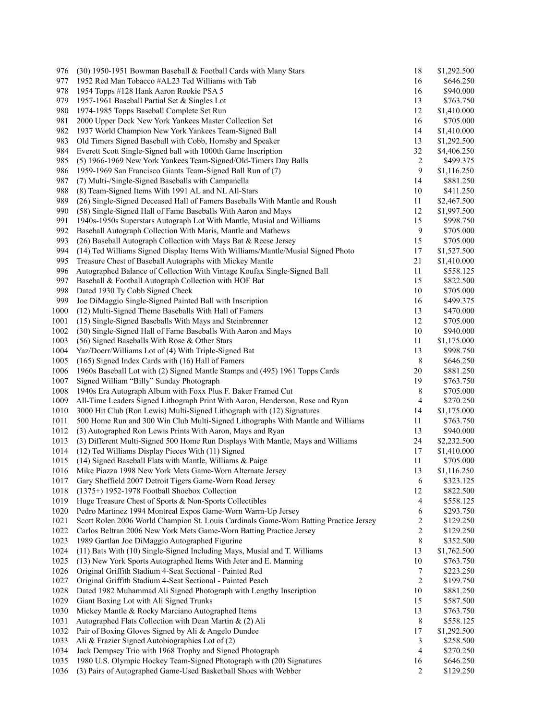| 976  | (30) 1950-1951 Bowman Baseball & Football Cards with Many Stars                       | 18                      | \$1,292.500              |
|------|---------------------------------------------------------------------------------------|-------------------------|--------------------------|
| 977  | 1952 Red Man Tobacco #AL23 Ted Williams with Tab                                      | 16                      | \$646.250                |
| 978  | 1954 Topps #128 Hank Aaron Rookie PSA 5                                               | 16                      | \$940.000                |
| 979  | 1957-1961 Baseball Partial Set & Singles Lot                                          | 13                      | \$763.750                |
| 980  | 1974-1985 Topps Baseball Complete Set Run                                             | 12                      | \$1,410.000              |
| 981  | 2000 Upper Deck New York Yankees Master Collection Set                                | 16                      | \$705.000                |
| 982  | 1937 World Champion New York Yankees Team-Signed Ball                                 | 14                      | \$1,410.000              |
| 983  | Old Timers Signed Baseball with Cobb, Hornsby and Speaker                             | 13                      | \$1,292.500              |
| 984  | Everett Scott Single-Signed ball with 1000th Game Inscription                         | 32                      | \$4,406.250              |
| 985  | (5) 1966-1969 New York Yankees Team-Signed/Old-Timers Day Balls                       | $\overline{\mathbf{c}}$ | \$499.375                |
| 986  | 1959-1969 San Francisco Giants Team-Signed Ball Run of (7)                            | 9                       | \$1,116.250              |
| 987  | (7) Multi-/Single-Signed Baseballs with Campanella                                    | 14                      | \$881.250                |
| 988  | (8) Team-Signed Items With 1991 AL and NL All-Stars                                   | 10                      | \$411.250                |
| 989  | (26) Single-Signed Deceased Hall of Famers Baseballs With Mantle and Roush            | 11                      | \$2,467.500              |
| 990  | (58) Single-Signed Hall of Fame Baseballs With Aaron and Mays                         | 12                      | \$1,997.500              |
| 991  | 1940s-1950s Superstars Autograph Lot With Mantle, Musial and Williams                 | 15                      | \$998.750                |
| 992  | Baseball Autograph Collection With Maris, Mantle and Mathews                          | 9                       | \$705.000                |
| 993  | (26) Baseball Autograph Collection with Mays Bat & Reese Jersey                       | 15                      | \$705.000                |
| 994  | (14) Ted Williams Signed Display Items With Williams/Mantle/Musial Signed Photo       | 17                      | \$1,527.500              |
| 995  | Treasure Chest of Baseball Autographs with Mickey Mantle                              | 21                      |                          |
| 996  |                                                                                       | 11                      | \$1,410.000<br>\$558.125 |
|      | Autographed Balance of Collection With Vintage Koufax Single-Signed Ball              |                         |                          |
| 997  | Baseball & Football Autograph Collection with HOF Bat                                 | 15                      | \$822.500                |
| 998  | Dated 1930 Ty Cobb Signed Check                                                       | 10                      | \$705.000                |
| 999  | Joe DiMaggio Single-Signed Painted Ball with Inscription                              | 16                      | \$499.375                |
| 1000 | (12) Multi-Signed Theme Baseballs With Hall of Famers                                 | 13                      | \$470.000                |
| 1001 | (15) Single-Signed Baseballs With Mays and Steinbrenner                               | 12                      | \$705.000                |
| 1002 | (30) Single-Signed Hall of Fame Baseballs With Aaron and Mays                         | 10                      | \$940.000                |
| 1003 | (56) Signed Baseballs With Rose & Other Stars                                         | 11                      | \$1,175.000              |
| 1004 | Yaz/Doerr/Williams Lot of (4) With Triple-Signed Bat                                  | 13                      | \$998.750                |
| 1005 | (165) Signed Index Cards with (16) Hall of Famers                                     | 8                       | \$646.250                |
| 1006 | 1960s Baseball Lot with (2) Signed Mantle Stamps and (495) 1961 Topps Cards           | 20                      | \$881.250                |
| 1007 | Signed William "Billy" Sunday Photograph                                              | 19                      | \$763.750                |
| 1008 | 1940s Era Autograph Album with Foxx Plus F. Baker Framed Cut                          | 8                       | \$705.000                |
| 1009 | All-Time Leaders Signed Lithograph Print With Aaron, Henderson, Rose and Ryan         | 4                       | \$270.250                |
| 1010 | 3000 Hit Club (Ron Lewis) Multi-Signed Lithograph with (12) Signatures                | 14                      | \$1,175.000              |
| 1011 | 500 Home Run and 300 Win Club Multi-Signed Lithographs With Mantle and Williams       | 11                      | \$763.750                |
| 1012 | (3) Autographed Ron Lewis Prints With Aaron, Mays and Ryan                            | 13                      | \$940.000                |
| 1013 | (3) Different Multi-Signed 500 Home Run Displays With Mantle, Mays and Williams       | 24                      | \$2,232.500              |
| 1014 | (12) Ted Williams Display Pieces With (11) Signed                                     | 17                      | \$1,410.000              |
| 1015 | (14) Signed Baseball Flats with Mantle, Williams & Paige                              | 11                      | \$705.000                |
| 1016 | Mike Piazza 1998 New York Mets Game-Worn Alternate Jersey                             | 13                      | \$1,116.250              |
| 1017 | Gary Sheffield 2007 Detroit Tigers Game-Worn Road Jersey                              | 6                       | \$323.125                |
| 1018 | (1375+) 1952-1978 Football Shoebox Collection                                         | 12                      | \$822.500                |
| 1019 | Huge Treasure Chest of Sports & Non-Sports Collectibles                               | 4                       | \$558.125                |
| 1020 | Pedro Martinez 1994 Montreal Expos Game-Worn Warm-Up Jersey                           | 6                       | \$293.750                |
| 1021 | Scott Rolen 2006 World Champion St. Louis Cardinals Game-Worn Batting Practice Jersey | $\overline{\mathbf{c}}$ | \$129.250                |
| 1022 | Carlos Beltran 2006 New York Mets Game-Worn Batting Practice Jersey                   | 2                       | \$129.250                |
| 1023 | 1989 Gartlan Joe DiMaggio Autographed Figurine                                        | 8                       | \$352.500                |
| 1024 | (11) Bats With (10) Single-Signed Including Mays, Musial and T. Williams              | 13                      | \$1,762.500              |
| 1025 | (13) New York Sports Autographed Items With Jeter and E. Manning                      | 10                      | \$763.750                |
| 1026 | Original Griffith Stadium 4-Seat Sectional - Painted Red                              | 7                       | \$223.250                |
| 1027 | Original Griffith Stadium 4-Seat Sectional - Painted Peach                            | $\overline{c}$          | \$199.750                |
| 1028 | Dated 1982 Muhammad Ali Signed Photograph with Lengthy Inscription                    | 10                      | \$881.250                |
| 1029 | Giant Boxing Lot with Ali Signed Trunks                                               | 15                      | \$587.500                |
| 1030 | Mickey Mantle & Rocky Marciano Autographed Items                                      | 13                      | \$763.750                |
| 1031 | Autographed Flats Collection with Dean Martin & (2) Ali                               | 8                       | \$558.125                |
| 1032 | Pair of Boxing Gloves Signed by Ali & Angelo Dundee                                   | 17                      | \$1,292.500              |
| 1033 | Ali & Frazier Signed Autobiographies Lot of (2)                                       | 3                       | \$258.500                |
| 1034 | Jack Dempsey Trio with 1968 Trophy and Signed Photograph                              | 4                       | \$270.250                |
| 1035 | 1980 U.S. Olympic Hockey Team-Signed Photograph with (20) Signatures                  | 16                      | \$646.250                |
| 1036 | (3) Pairs of Autographed Game-Used Basketball Shoes with Webber                       | 2                       | \$129.250                |
|      |                                                                                       |                         |                          |